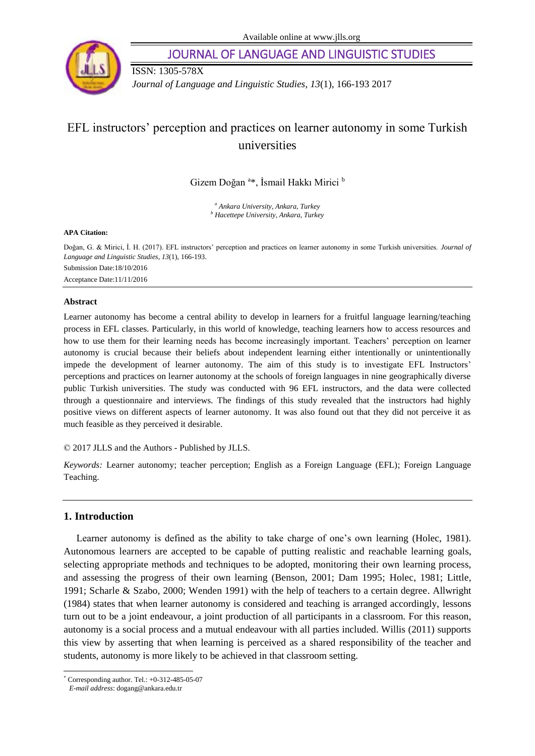

JOURNAL OF LANGUAGE AND LINGUISTIC STUDIES

ISSN: 1305-578X

*Journal of Language and Linguistic Studies, 13*(1), 166-193 2017

# EFL instructors' perception and practices on learner autonomy in some Turkish universities

Gizem Doğan <sup>a</sup>\*, İsmail Hakkı Mirici <sup>b</sup>

*<sup>a</sup> Ankara University, Ankara, Turkey <sup>b</sup> Hacettepe University, Ankara, Turkey*

#### **APA Citation:**

Doğan, G. & Mirici, İ. H. (2017). EFL instructors' perception and practices on learner autonomy in some Turkish universities. *Journal of Language and Linguistic Studies, 13*(1), 166-193. Submission Date:18/10/2016 Acceptance Date:11/11/2016

## **Abstract**

Learner autonomy has become a central ability to develop in learners for a fruitful language learning/teaching process in EFL classes. Particularly, in this world of knowledge, teaching learners how to access resources and how to use them for their learning needs has become increasingly important. Teachers' perception on learner autonomy is crucial because their beliefs about independent learning either intentionally or unintentionally impede the development of learner autonomy. The aim of this study is to investigate EFL Instructors' perceptions and practices on learner autonomy at the schools of foreign languages in nine geographically diverse public Turkish universities. The study was conducted with 96 EFL instructors, and the data were collected through a questionnaire and interviews. The findings of this study revealed that the instructors had highly positive views on different aspects of learner autonomy. It was also found out that they did not perceive it as much feasible as they perceived it desirable.

© 2017 JLLS and the Authors - Published by JLLS.

*Keywords:* Learner autonomy; teacher perception; English as a Foreign Language (EFL); Foreign Language Teaching.

# **1. Introduction**

Learner autonomy is defined as the ability to take charge of one's own learning (Holec, 1981). Autonomous learners are accepted to be capable of putting realistic and reachable learning goals, selecting appropriate methods and techniques to be adopted, monitoring their own learning process, and assessing the progress of their own learning (Benson, 2001; Dam 1995; Holec, 1981; Little, 1991; Scharle & Szabo, 2000; Wenden 1991) with the help of teachers to a certain degree. Allwright (1984) states that when learner autonomy is considered and teaching is arranged accordingly, lessons turn out to be a joint endeavour, a joint production of all participants in a classroom. For this reason, autonomy is a social process and a mutual endeavour with all parties included. Willis (2011) supports this view by asserting that when learning is perceived as a shared responsibility of the teacher and students, autonomy is more likely to be achieved in that classroom setting.

l

<sup>\*</sup> Corresponding author. Tel.: +0-312-485-05-07

*E-mail address*: dogang@ankara.edu.tr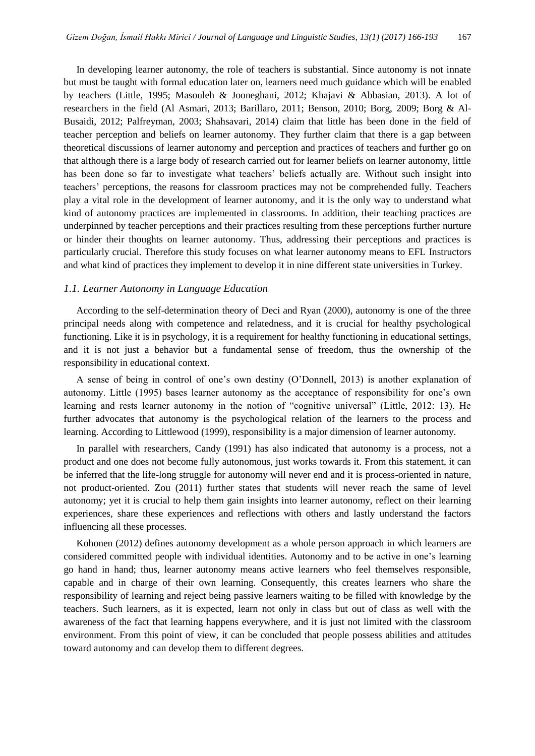In developing learner autonomy, the role of teachers is substantial. Since autonomy is not innate but must be taught with formal education later on, learners need much guidance which will be enabled by teachers (Little, 1995; Masouleh & Jooneghani, 2012; Khajavi & Abbasian, 2013). A lot of researchers in the field (Al Asmari, 2013; Barillaro, 2011; Benson, 2010; Borg, 2009; Borg & Al-Busaidi, 2012; Palfreyman, 2003; Shahsavari, 2014) claim that little has been done in the field of teacher perception and beliefs on learner autonomy. They further claim that there is a gap between theoretical discussions of learner autonomy and perception and practices of teachers and further go on that although there is a large body of research carried out for learner beliefs on learner autonomy, little has been done so far to investigate what teachers' beliefs actually are. Without such insight into teachers' perceptions, the reasons for classroom practices may not be comprehended fully. Teachers play a vital role in the development of learner autonomy, and it is the only way to understand what kind of autonomy practices are implemented in classrooms. In addition, their teaching practices are underpinned by teacher perceptions and their practices resulting from these perceptions further nurture or hinder their thoughts on learner autonomy. Thus, addressing their perceptions and practices is particularly crucial. Therefore this study focuses on what learner autonomy means to EFL Instructors and what kind of practices they implement to develop it in nine different state universities in Turkey.

# *1.1. Learner Autonomy in Language Education*

According to the self-determination theory of Deci and Ryan (2000), autonomy is one of the three principal needs along with competence and relatedness, and it is crucial for healthy psychological functioning. Like it is in psychology, it is a requirement for healthy functioning in educational settings, and it is not just a behavior but a fundamental sense of freedom, thus the ownership of the responsibility in educational context.

A sense of being in control of one's own destiny (O'Donnell, 2013) is another explanation of autonomy. Little (1995) bases learner autonomy as the acceptance of responsibility for one's own learning and rests learner autonomy in the notion of "cognitive universal" (Little, 2012: 13). He further advocates that autonomy is the psychological relation of the learners to the process and learning. According to Littlewood (1999), responsibility is a major dimension of learner autonomy.

In parallel with researchers, Candy (1991) has also indicated that autonomy is a process, not a product and one does not become fully autonomous, just works towards it. From this statement, it can be inferred that the life-long struggle for autonomy will never end and it is process-oriented in nature, not product-oriented. Zou (2011) further states that students will never reach the same of level autonomy; yet it is crucial to help them gain insights into learner autonomy, reflect on their learning experiences, share these experiences and reflections with others and lastly understand the factors influencing all these processes.

Kohonen (2012) defines autonomy development as a whole person approach in which learners are considered committed people with individual identities. Autonomy and to be active in one's learning go hand in hand; thus, learner autonomy means active learners who feel themselves responsible, capable and in charge of their own learning. Consequently, this creates learners who share the responsibility of learning and reject being passive learners waiting to be filled with knowledge by the teachers. Such learners, as it is expected, learn not only in class but out of class as well with the awareness of the fact that learning happens everywhere, and it is just not limited with the classroom environment. From this point of view, it can be concluded that people possess abilities and attitudes toward autonomy and can develop them to different degrees.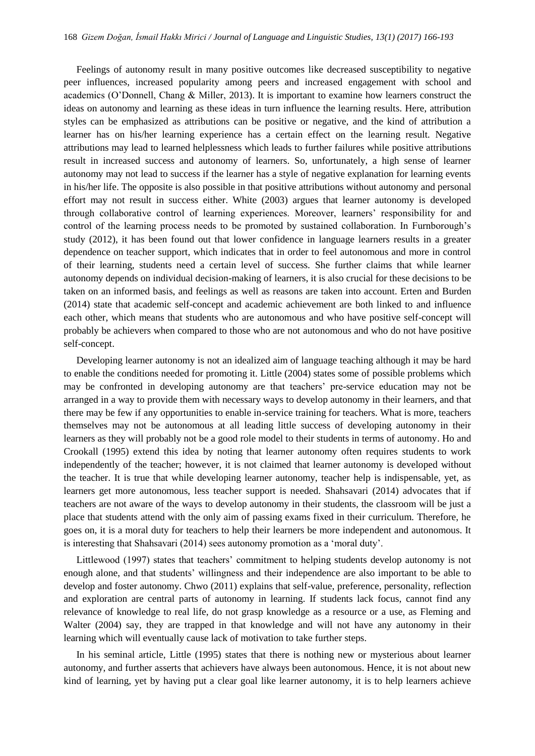Feelings of autonomy result in many positive outcomes like decreased susceptibility to negative peer influences, increased popularity among peers and increased engagement with school and academics (O'Donnell, Chang & Miller, 2013). It is important to examine how learners construct the ideas on autonomy and learning as these ideas in turn influence the learning results. Here, attribution styles can be emphasized as attributions can be positive or negative, and the kind of attribution a learner has on his/her learning experience has a certain effect on the learning result. Negative attributions may lead to learned helplessness which leads to further failures while positive attributions result in increased success and autonomy of learners. So, unfortunately, a high sense of learner autonomy may not lead to success if the learner has a style of negative explanation for learning events in his/her life. The opposite is also possible in that positive attributions without autonomy and personal effort may not result in success either. White (2003) argues that learner autonomy is developed through collaborative control of learning experiences. Moreover, learners' responsibility for and control of the learning process needs to be promoted by sustained collaboration. In Furnborough's study (2012), it has been found out that lower confidence in language learners results in a greater dependence on teacher support, which indicates that in order to feel autonomous and more in control of their learning, students need a certain level of success. She further claims that while learner autonomy depends on individual decision-making of learners, it is also crucial for these decisions to be taken on an informed basis, and feelings as well as reasons are taken into account. Erten and Burden (2014) state that academic self-concept and academic achievement are both linked to and influence each other, which means that students who are autonomous and who have positive self-concept will probably be achievers when compared to those who are not autonomous and who do not have positive self-concept.

Developing learner autonomy is not an idealized aim of language teaching although it may be hard to enable the conditions needed for promoting it. Little (2004) states some of possible problems which may be confronted in developing autonomy are that teachers' pre-service education may not be arranged in a way to provide them with necessary ways to develop autonomy in their learners, and that there may be few if any opportunities to enable in-service training for teachers. What is more, teachers themselves may not be autonomous at all leading little success of developing autonomy in their learners as they will probably not be a good role model to their students in terms of autonomy. Ho and Crookall (1995) extend this idea by noting that learner autonomy often requires students to work independently of the teacher; however, it is not claimed that learner autonomy is developed without the teacher. It is true that while developing learner autonomy, teacher help is indispensable, yet, as learners get more autonomous, less teacher support is needed. Shahsavari (2014) advocates that if teachers are not aware of the ways to develop autonomy in their students, the classroom will be just a place that students attend with the only aim of passing exams fixed in their curriculum. Therefore, he goes on, it is a moral duty for teachers to help their learners be more independent and autonomous. It is interesting that Shahsavari (2014) sees autonomy promotion as a 'moral duty'.

Littlewood (1997) states that teachers' commitment to helping students develop autonomy is not enough alone, and that students' willingness and their independence are also important to be able to develop and foster autonomy. Chwo (2011) explains that self-value, preference, personality, reflection and exploration are central parts of autonomy in learning. If students lack focus, cannot find any relevance of knowledge to real life, do not grasp knowledge as a resource or a use, as Fleming and Walter (2004) say, they are trapped in that knowledge and will not have any autonomy in their learning which will eventually cause lack of motivation to take further steps.

In his seminal article, Little (1995) states that there is nothing new or mysterious about learner autonomy, and further asserts that achievers have always been autonomous. Hence, it is not about new kind of learning, yet by having put a clear goal like learner autonomy, it is to help learners achieve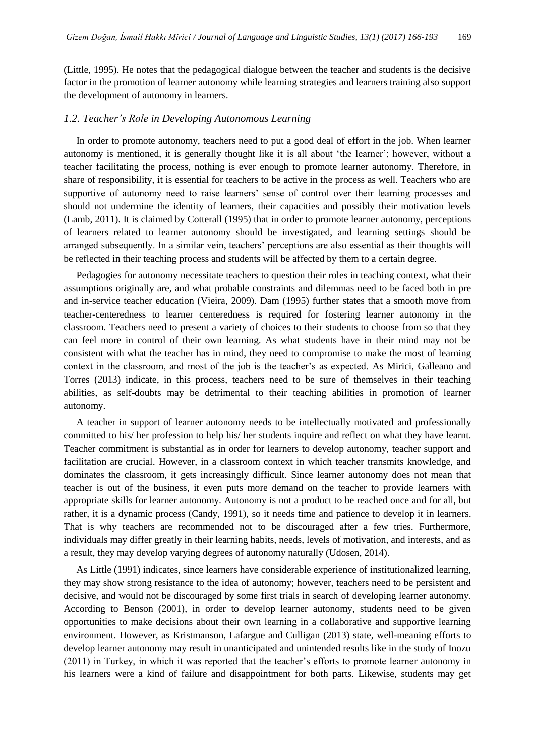(Little, 1995). He notes that the pedagogical dialogue between the teacher and students is the decisive factor in the promotion of learner autonomy while learning strategies and learners training also support the development of autonomy in learners.

## *1.2. Teacher's Role in Developing Autonomous Learning*

In order to promote autonomy, teachers need to put a good deal of effort in the job. When learner autonomy is mentioned, it is generally thought like it is all about 'the learner'; however, without a teacher facilitating the process, nothing is ever enough to promote learner autonomy. Therefore, in share of responsibility, it is essential for teachers to be active in the process as well. Teachers who are supportive of autonomy need to raise learners' sense of control over their learning processes and should not undermine the identity of learners, their capacities and possibly their motivation levels (Lamb, 2011). It is claimed by Cotterall (1995) that in order to promote learner autonomy, perceptions of learners related to learner autonomy should be investigated, and learning settings should be arranged subsequently. In a similar vein, teachers' perceptions are also essential as their thoughts will be reflected in their teaching process and students will be affected by them to a certain degree.

Pedagogies for autonomy necessitate teachers to question their roles in teaching context, what their assumptions originally are, and what probable constraints and dilemmas need to be faced both in pre and in-service teacher education (Vieira, 2009). Dam (1995) further states that a smooth move from teacher-centeredness to learner centeredness is required for fostering learner autonomy in the classroom. Teachers need to present a variety of choices to their students to choose from so that they can feel more in control of their own learning. As what students have in their mind may not be consistent with what the teacher has in mind, they need to compromise to make the most of learning context in the classroom, and most of the job is the teacher's as expected. As Mirici, Galleano and Torres (2013) indicate, in this process, teachers need to be sure of themselves in their teaching abilities, as self-doubts may be detrimental to their teaching abilities in promotion of learner autonomy.

A teacher in support of learner autonomy needs to be intellectually motivated and professionally committed to his/ her profession to help his/ her students inquire and reflect on what they have learnt. Teacher commitment is substantial as in order for learners to develop autonomy, teacher support and facilitation are crucial. However, in a classroom context in which teacher transmits knowledge, and dominates the classroom, it gets increasingly difficult. Since learner autonomy does not mean that teacher is out of the business, it even puts more demand on the teacher to provide learners with appropriate skills for learner autonomy. Autonomy is not a product to be reached once and for all, but rather, it is a dynamic process (Candy, 1991), so it needs time and patience to develop it in learners. That is why teachers are recommended not to be discouraged after a few tries. Furthermore, individuals may differ greatly in their learning habits, needs, levels of motivation, and interests, and as a result, they may develop varying degrees of autonomy naturally (Udosen, 2014).

As Little (1991) indicates, since learners have considerable experience of [institutionalized](http://tureng.com/search/institutionalized) learning, they may show strong resistance to the idea of autonomy; however, teachers need to be persistent and decisive, and would not be discouraged by some first trials in search of developing learner autonomy. According to Benson (2001), in order to develop learner autonomy, students need to be given opportunities to make decisions about their own learning in a collaborative and supportive learning environment. However, as Kristmanson, Lafargue and Culligan (2013) state, well-meaning efforts to develop learner autonomy may result in unanticipated and unintended results like in the study of Inozu (2011) in Turkey, in which it was reported that the teacher's efforts to promote learner autonomy in his learners were a kind of failure and disappointment for both parts. Likewise, students may get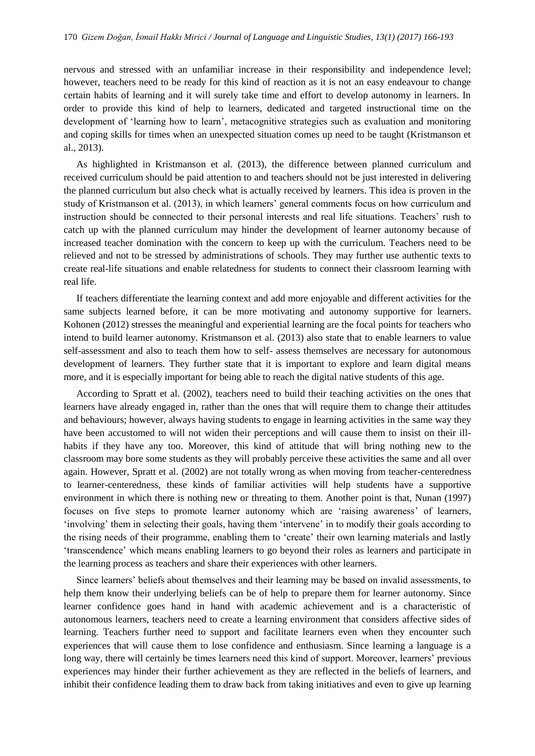nervous and stressed with an unfamiliar increase in their responsibility and independence level; however, teachers need to be ready for this kind of reaction as it is not an easy endeavour to change certain habits of learning and it will surely take time and effort to develop autonomy in learners. In order to provide this kind of help to learners, dedicated and targeted instructional time on the development of 'learning how to learn', metacognitive strategies such as evaluation and monitoring and coping skills for times when an unexpected situation comes up need to be taught (Kristmanson et al., 2013).

As highlighted in Kristmanson et al. (2013), the difference between planned curriculum and received curriculum should be paid attention to and teachers should not be just interested in delivering the planned curriculum but also check what is actually received by learners. This idea is proven in the study of Kristmanson et al. (2013), in which learners' general comments focus on how curriculum and instruction should be connected to their personal interests and real life situations. Teachers' rush to catch up with the planned curriculum may hinder the development of learner autonomy because of increased teacher domination with the concern to keep up with the curriculum. Teachers need to be relieved and not to be stressed by administrations of schools. They may further use authentic texts to create real-life situations and enable relatedness for students to connect their classroom learning with real life.

If teachers differentiate the learning context and add more enjoyable and different activities for the same subjects learned before, it can be more motivating and autonomy supportive for learners. Kohonen (2012) stresses the meaningful and experiential learning are the focal points for teachers who intend to build learner autonomy. Kristmanson et al. (2013) also state that to enable learners to value self-assessment and also to teach them how to self- assess themselves are necessary for autonomous development of learners. They further state that it is important to explore and learn digital means more, and it is especially important for being able to reach the digital native students of this age.

According to Spratt et al. (2002), teachers need to build their teaching activities on the ones that learners have already engaged in, rather than the ones that will require them to change their attitudes and behaviours; however, always having students to engage in learning activities in the same way they have been accustomed to will not widen their perceptions and will cause them to insist on their illhabits if they have any too. Moreover, this kind of attitude that will bring nothing new to the classroom may bore some students as they will probably perceive these activities the same and all over again. However, Spratt et al. (2002) are not totally wrong as when moving from teacher-centeredness to learner-centeredness, these kinds of familiar activities will help students have a supportive environment in which there is nothing new or threating to them. Another point is that, Nunan (1997) focuses on five steps to promote learner autonomy which are 'raising awareness' of learners, 'involving' them in selecting their goals, having them 'intervene' in to modify their goals according to the rising needs of their programme, enabling them to 'create' their own learning materials and lastly 'transcendence' which means enabling learners to go beyond their roles as learners and participate in the learning process as teachers and share their experiences with other learners.

Since learners' beliefs about themselves and their learning may be based on invalid assessments, to help them know their underlying beliefs can be of help to prepare them for learner autonomy. Since learner confidence goes hand in hand with academic achievement and is a characteristic of autonomous learners, teachers need to create a learning environment that considers affective sides of learning. Teachers further need to support and facilitate learners even when they encounter such experiences that will cause them to lose confidence and enthusiasm. Since learning a language is a long way, there will certainly be times learners need this kind of support. Moreover, learners' previous experiences may hinder their further achievement as they are reflected in the beliefs of learners, and inhibit their confidence leading them to draw back from taking initiatives and even to give up learning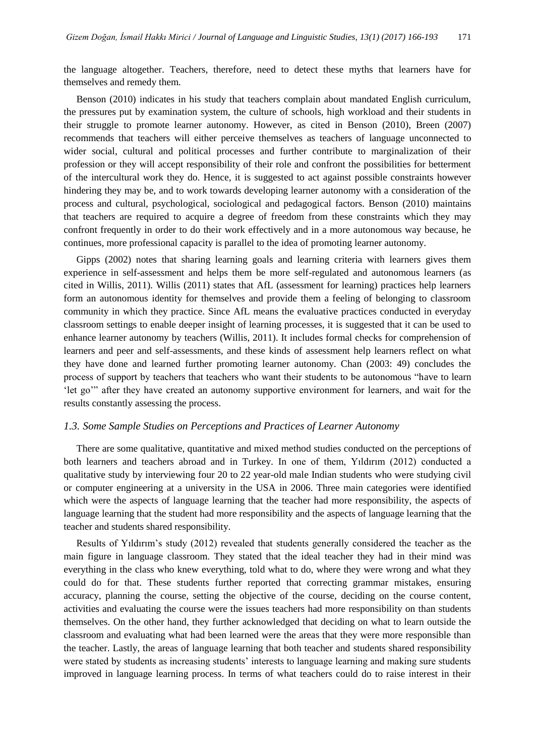the language altogether. Teachers, therefore, need to detect these myths that learners have for themselves and remedy them.

Benson (2010) indicates in his study that teachers complain about mandated English curriculum, the pressures put by examination system, the culture of schools, high workload and their students in their struggle to promote learner autonomy. However, as cited in Benson (2010), Breen (2007) recommends that teachers will either perceive themselves as teachers of language unconnected to wider social, cultural and political processes and further contribute to marginalization of their profession or they will accept responsibility of their role and confront the possibilities for betterment of the intercultural work they do. Hence, it is suggested to act against possible constraints however hindering they may be, and to work towards developing learner autonomy with a consideration of the process and cultural, psychological, sociological and pedagogical factors. Benson (2010) maintains that teachers are required to acquire a degree of freedom from these constraints which they may confront frequently in order to do their work effectively and in a more autonomous way because, he continues, more professional capacity is parallel to the idea of promoting learner autonomy.

Gipps (2002) notes that sharing learning goals and learning criteria with learners gives them experience in self-assessment and helps them be more self-regulated and autonomous learners (as cited in Willis, 2011). Willis (2011) states that AfL (assessment for learning) practices help learners form an autonomous identity for themselves and provide them a feeling of belonging to classroom community in which they practice. Since AfL means the evaluative practices conducted in everyday classroom settings to enable deeper insight of learning processes, it is suggested that it can be used to enhance learner autonomy by teachers (Willis, 2011). It includes formal checks for comprehension of learners and peer and self-assessments, and these kinds of assessment help learners reflect on what they have done and learned further promoting learner autonomy. Chan (2003: 49) concludes the process of support by teachers that teachers who want their students to be autonomous "have to learn 'let go'" after they have created an autonomy supportive environment for learners, and wait for the results constantly assessing the process.

## *1.3. Some Sample Studies on Perceptions and Practices of Learner Autonomy*

There are some qualitative, quantitative and mixed method studies conducted on the perceptions of both learners and teachers abroad and in Turkey. In one of them, Yıldırım (2012) conducted a qualitative study by interviewing four 20 to 22 year-old male Indian students who were studying civil or computer engineering at a university in the USA in 2006. Three main categories were identified which were the aspects of language learning that the teacher had more responsibility, the aspects of language learning that the student had more responsibility and the aspects of language learning that the teacher and students shared responsibility.

Results of Yıldırım's study (2012) revealed that students generally considered the teacher as the main figure in language classroom. They stated that the ideal teacher they had in their mind was everything in the class who knew everything, told what to do, where they were wrong and what they could do for that. These students further reported that correcting grammar mistakes, ensuring accuracy, planning the course, setting the objective of the course, deciding on the course content, activities and evaluating the course were the issues teachers had more responsibility on than students themselves. On the other hand, they further acknowledged that deciding on what to learn outside the classroom and evaluating what had been learned were the areas that they were more responsible than the teacher. Lastly, the areas of language learning that both teacher and students shared responsibility were stated by students as increasing students' interests to language learning and making sure students improved in language learning process. In terms of what teachers could do to raise interest in their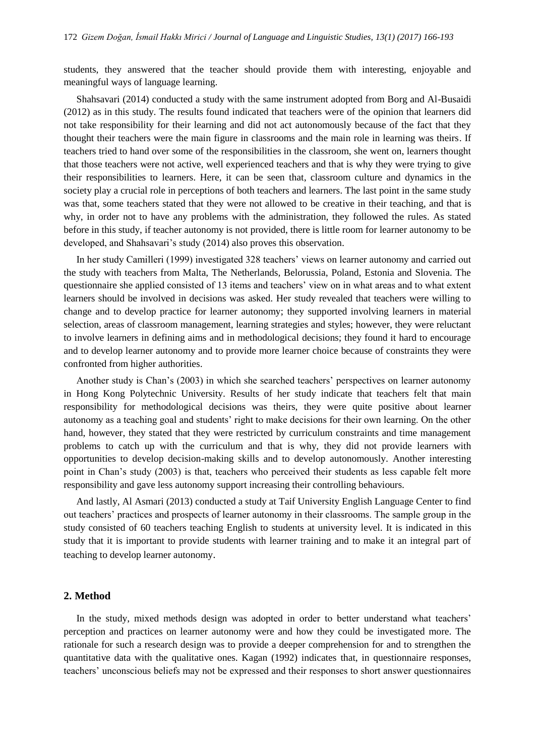students, they answered that the teacher should provide them with interesting, enjoyable and meaningful ways of language learning.

Shahsavari (2014) conducted a study with the same instrument adopted from Borg and Al-Busaidi (2012) as in this study. The results found indicated that teachers were of the opinion that learners did not take responsibility for their learning and did not act autonomously because of the fact that they thought their teachers were the main figure in classrooms and the main role in learning was theirs. If teachers tried to hand over some of the responsibilities in the classroom, she went on, learners thought that those teachers were not active, well experienced teachers and that is why they were trying to give their responsibilities to learners. Here, it can be seen that, classroom culture and dynamics in the society play a crucial role in perceptions of both teachers and learners. The last point in the same study was that, some teachers stated that they were not allowed to be creative in their teaching, and that is why, in order not to have any problems with the administration, they followed the rules. As stated before in this study, if teacher autonomy is not provided, there is little room for learner autonomy to be developed, and Shahsavari's study (2014) also proves this observation.

In her study Camilleri (1999) investigated 328 teachers' views on learner autonomy and carried out the study with teachers from Malta, The Netherlands, Belorussia, Poland, Estonia and Slovenia. The questionnaire she applied consisted of 13 items and teachers' view on in what areas and to what extent learners should be involved in decisions was asked. Her study revealed that teachers were willing to change and to develop practice for learner autonomy; they supported involving learners in material selection, areas of classroom management, learning strategies and styles; however, they were reluctant to involve learners in defining aims and in methodological decisions; they found it hard to encourage and to develop learner autonomy and to provide more learner choice because of constraints they were confronted from higher authorities.

Another study is Chan's (2003) in which she searched teachers' perspectives on learner autonomy in Hong Kong Polytechnic University. Results of her study indicate that teachers felt that main responsibility for methodological decisions was theirs, they were quite positive about learner autonomy as a teaching goal and students' right to make decisions for their own learning. On the other hand, however, they stated that they were restricted by curriculum constraints and time management problems to catch up with the curriculum and that is why, they did not provide learners with opportunities to develop decision-making skills and to develop autonomously. Another interesting point in Chan's study (2003) is that, teachers who perceived their students as less capable felt more responsibility and gave less autonomy support increasing their controlling behaviours.

And lastly, Al Asmari (2013) conducted a study at Taif University English Language Center to find out teachers' practices and prospects of learner autonomy in their classrooms. The sample group in the study consisted of 60 teachers teaching English to students at university level. It is indicated in this study that it is important to provide students with learner training and to make it an integral part of teaching to develop learner autonomy.

# **2. Method**

In the study, mixed methods design was adopted in order to better understand what teachers' perception and practices on learner autonomy were and how they could be investigated more. The rationale for such a research design was to provide a deeper comprehension for and to strengthen the quantitative data with the qualitative ones. Kagan (1992) indicates that, in questionnaire responses, teachers' unconscious beliefs may not be expressed and their responses to short answer questionnaires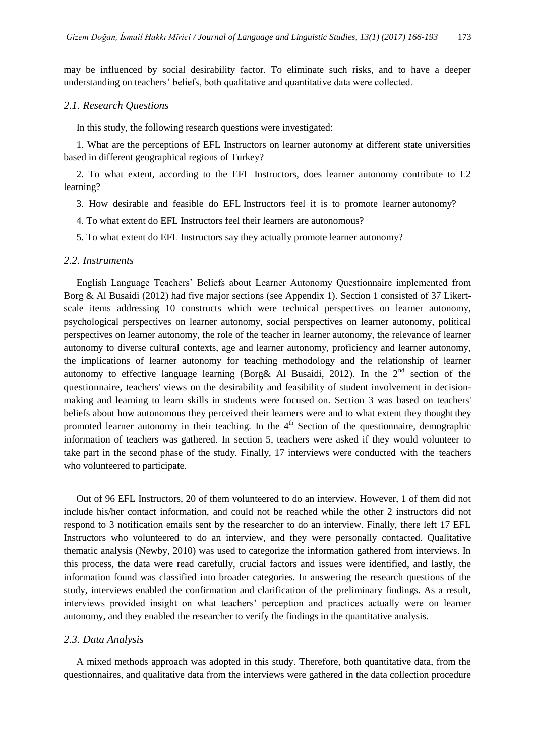may be influenced by social desirability factor. To eliminate such risks, and to have a deeper understanding on teachers' beliefs, both qualitative and quantitative data were collected.

## *2.1. Research Questions*

In this study, the following research questions were investigated:

1. What are the perceptions of EFL Instructors on learner autonomy at different state universities based in different geographical regions of Turkey?

2. To what extent, according to the EFL Instructors, does learner autonomy contribute to L2 learning?

- 3. How desirable and feasible do EFL Instructors feel it is to promote learner autonomy?
- 4. To what extent do EFL Instructors feel their learners are autonomous?
- 5. To what extent do EFL Instructors say they actually promote learner autonomy?

## *2.2. Instruments*

English Language Teachers' Beliefs about Learner Autonomy Questionnaire implemented from Borg & Al Busaidi (2012) had five major sections (see Appendix 1). Section 1 consisted of 37 Likertscale items addressing 10 constructs which were technical perspectives on learner autonomy, psychological perspectives on learner autonomy, social perspectives on learner autonomy, political perspectives on learner autonomy, the role of the teacher in learner autonomy, the relevance of learner autonomy to diverse cultural contexts, age and learner autonomy, proficiency and learner autonomy, the implications of learner autonomy for teaching methodology and the relationship of learner autonomy to effective language learning (Borg & Al Busaidi, 2012). In the  $2<sup>nd</sup>$  section of the questionnaire, teachers' views on the desirability and feasibility of student involvement in decisionmaking and learning to learn skills in students were focused on. Section 3 was based on teachers' beliefs about how autonomous they perceived their learners were and to what extent they thought they promoted learner autonomy in their teaching. In the  $4<sup>th</sup>$  Section of the questionnaire, demographic information of teachers was gathered. In section 5, teachers were asked if they would volunteer to take part in the second phase of the study. Finally, 17 interviews were conducted with the teachers who volunteered to participate.

Out of 96 EFL Instructors, 20 of them volunteered to do an interview. However, 1 of them did not include his/her contact information, and could not be reached while the other 2 instructors did not respond to 3 notification emails sent by the researcher to do an interview. Finally, there left 17 EFL Instructors who volunteered to do an interview, and they were personally contacted. Qualitative thematic analysis (Newby, 2010) was used to categorize the information gathered from interviews. In this process, the data were read carefully, crucial factors and issues were identified, and lastly, the information found was classified into broader categories. In answering the research questions of the study, interviews enabled the confirmation and clarification of the preliminary findings. As a result, interviews provided insight on what teachers' perception and practices actually were on learner autonomy, and they enabled the researcher to verify the findings in the quantitative analysis.

#### *2.3. Data Analysis*

A mixed methods approach was adopted in this study. Therefore, both quantitative data, from the questionnaires, and qualitative data from the interviews were gathered in the data collection procedure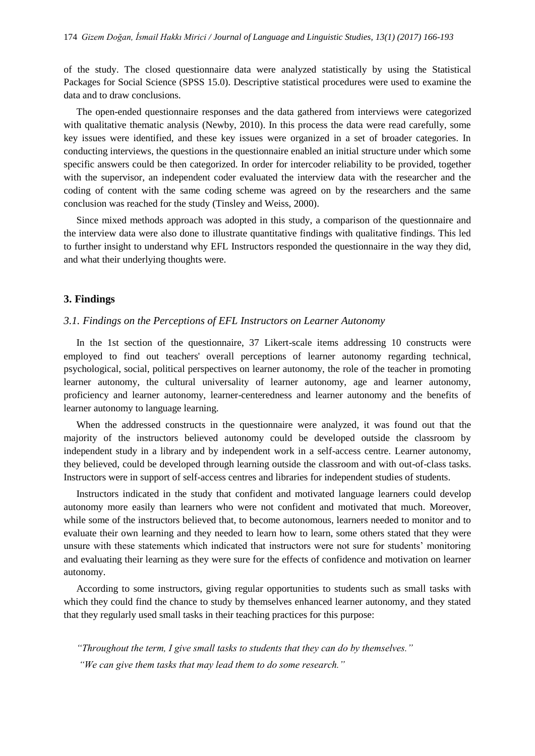of the study. The closed questionnaire data were analyzed statistically by using the Statistical Packages for Social Science (SPSS 15.0). Descriptive statistical procedures were used to examine the data and to draw conclusions.

The open-ended questionnaire responses and the data gathered from interviews were categorized with qualitative thematic analysis (Newby, 2010). In this process the data were read carefully, some key issues were identified, and these key issues were organized in a set of broader categories. In conducting interviews, the questions in the questionnaire enabled an initial structure under which some specific answers could be then categorized. In order for intercoder reliability to be provided, together with the supervisor, an independent coder evaluated the interview data with the researcher and the coding of content with the same coding scheme was agreed on by the researchers and the same conclusion was reached for the study (Tinsley and Weiss, 2000).

Since mixed methods approach was adopted in this study, a comparison of the questionnaire and the interview data were also done to illustrate quantitative findings with qualitative findings. This led to further insight to understand why EFL Instructors responded the questionnaire in the way they did, and what their underlying thoughts were.

# **3. Findings**

# *3.1. Findings on the Perceptions of EFL Instructors on Learner Autonomy*

In the 1st section of the questionnaire, 37 Likert-scale items addressing 10 constructs were employed to find out teachers' overall perceptions of learner autonomy regarding technical, psychological, social, political perspectives on learner autonomy, the role of the teacher in promoting learner autonomy, the cultural universality of learner autonomy, age and learner autonomy, proficiency and learner autonomy, learner-centeredness and learner autonomy and the benefits of learner autonomy to language learning.

When the addressed constructs in the questionnaire were analyzed, it was found out that the majority of the instructors believed autonomy could be developed outside the classroom by independent study in a library and by independent work in a self-access centre. Learner autonomy, they believed, could be developed through learning outside the classroom and with out-of-class tasks. Instructors were in support of self-access centres and libraries for independent studies of students.

Instructors indicated in the study that confident and motivated language learners could develop autonomy more easily than learners who were not confident and motivated that much. Moreover, while some of the instructors believed that, to become autonomous, learners needed to monitor and to evaluate their own learning and they needed to learn how to learn, some others stated that they were unsure with these statements which indicated that instructors were not sure for students' monitoring and evaluating their learning as they were sure for the effects of confidence and motivation on learner autonomy.

According to some instructors, giving regular opportunities to students such as small tasks with which they could find the chance to study by themselves enhanced learner autonomy, and they stated that they regularly used small tasks in their teaching practices for this purpose:

*"Throughout the term, I give small tasks to students that they can do by themselves." "We can give them tasks that may lead them to do some research."*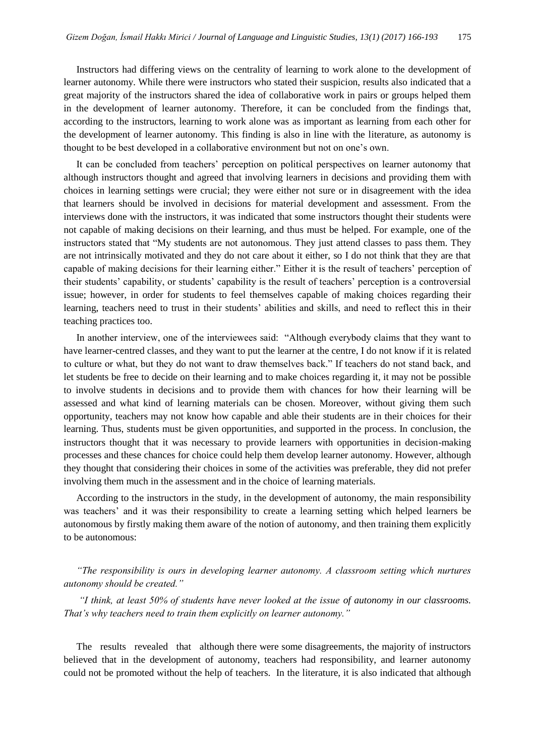Instructors had differing views on the centrality of learning to work alone to the development of learner autonomy. While there were instructors who stated their suspicion, results also indicated that a great majority of the instructors shared the idea of collaborative work in pairs or groups helped them in the development of learner autonomy. Therefore, it can be concluded from the findings that, according to the instructors, learning to work alone was as important as learning from each other for the development of learner autonomy. This finding is also in line with the literature, as autonomy is thought to be best developed in a collaborative environment but not on one's own.

It can be concluded from teachers' perception on political perspectives on learner autonomy that although instructors thought and agreed that involving learners in decisions and providing them with choices in learning settings were crucial; they were either not sure or in disagreement with the idea that learners should be involved in decisions for material development and assessment. From the interviews done with the instructors, it was indicated that some instructors thought their students were not capable of making decisions on their learning, and thus must be helped. For example, one of the instructors stated that "My students are not autonomous. They just attend classes to pass them. They are not intrinsically motivated and they do not care about it either, so I do not think that they are that capable of making decisions for their learning either." Either it is the result of teachers' perception of their students' capability, or students' capability is the result of teachers' perception is a controversial issue; however, in order for students to feel themselves capable of making choices regarding their learning, teachers need to trust in their students' abilities and skills, and need to reflect this in their teaching practices too.

In another interview, one of the interviewees said: "Although everybody claims that they want to have learner-centred classes, and they want to put the learner at the centre, I do not know if it is related to culture or what, but they do not want to draw themselves back." If teachers do not stand back, and let students be free to decide on their learning and to make choices regarding it, it may not be possible to involve students in decisions and to provide them with chances for how their learning will be assessed and what kind of learning materials can be chosen. Moreover, without giving them such opportunity, teachers may not know how capable and able their students are in their choices for their learning. Thus, students must be given opportunities, and supported in the process. In conclusion, the instructors thought that it was necessary to provide learners with opportunities in decision-making processes and these chances for choice could help them develop learner autonomy. However, although they thought that considering their choices in some of the activities was preferable, they did not prefer involving them much in the assessment and in the choice of learning materials.

According to the instructors in the study, in the development of autonomy, the main responsibility was teachers' and it was their responsibility to create a learning setting which helped learners be autonomous by firstly making them aware of the notion of autonomy, and then training them explicitly to be autonomous:

*"The responsibility is ours in developing learner autonomy. A classroom setting which nurtures autonomy should be created."*

*"I think, at least 50% of students have never looked at the issue of autonomy in our classrooms. That's why teachers need to train them explicitly on learner autonomy."*

The results revealed that although there were some disagreements, the majority of instructors believed that in the development of autonomy, teachers had responsibility, and learner autonomy could not be promoted without the help of teachers. In the literature, it is also indicated that although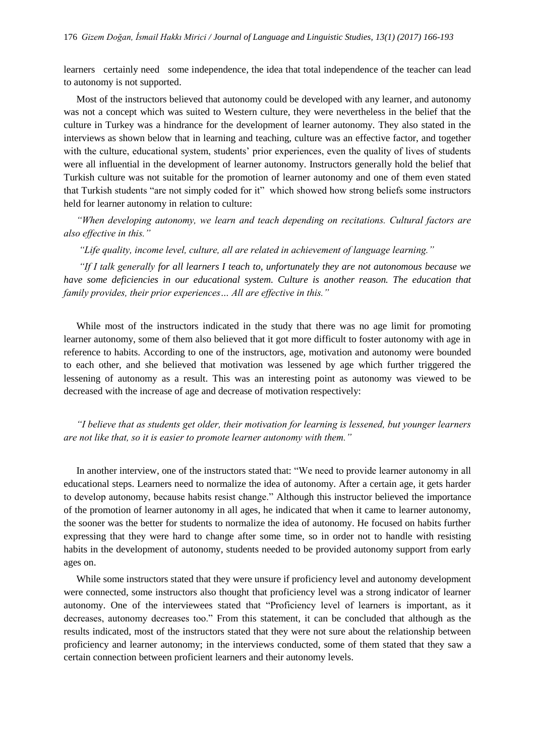learners certainly need some independence, the idea that total independence of the teacher can lead to autonomy is not supported.

Most of the instructors believed that autonomy could be developed with any learner, and autonomy was not a concept which was suited to Western culture, they were nevertheless in the belief that the culture in Turkey was a hindrance for the development of learner autonomy. They also stated in the interviews as shown below that in learning and teaching, culture was an effective factor, and together with the culture, educational system, students' prior experiences, even the quality of lives of students were all influential in the development of learner autonomy. Instructors generally hold the belief that Turkish culture was not suitable for the promotion of learner autonomy and one of them even stated that Turkish students "are not simply coded for it" which showed how strong beliefs some instructors held for learner autonomy in relation to culture:

*"When developing autonomy, we learn and teach depending on recitations. Cultural factors are also effective in this."*

*"Life quality, income level, culture, all are related in achievement of language learning."* 

*"If I talk generally for all learners I teach to, unfortunately they are not autonomous because we have some deficiencies in our educational system. Culture is another reason. The education that family provides, their prior experiences… All are effective in this."*

While most of the instructors indicated in the study that there was no age limit for promoting learner autonomy, some of them also believed that it got more difficult to foster autonomy with age in reference to habits. According to one of the instructors, age, motivation and autonomy were bounded to each other, and she believed that motivation was lessened by age which further triggered the lessening of autonomy as a result. This was an interesting point as autonomy was viewed to be decreased with the increase of age and decrease of motivation respectively:

*"I believe that as students get older, their motivation for learning is lessened, but younger learners are not like that, so it is easier to promote learner autonomy with them."*

In another interview, one of the instructors stated that: "We need to provide learner autonomy in all educational steps. Learners need to normalize the idea of autonomy. After a certain age, it gets harder to develop autonomy, because habits resist change." Although this instructor believed the importance of the promotion of learner autonomy in all ages, he indicated that when it came to learner autonomy, the sooner was the better for students to normalize the idea of autonomy. He focused on habits further expressing that they were hard to change after some time, so in order not to handle with resisting habits in the development of autonomy, students needed to be provided autonomy support from early ages on.

While some instructors stated that they were unsure if proficiency level and autonomy development were connected, some instructors also thought that proficiency level was a strong indicator of learner autonomy. One of the interviewees stated that "Proficiency level of learners is important, as it decreases, autonomy decreases too." From this statement, it can be concluded that although as the results indicated, most of the instructors stated that they were not sure about the relationship between proficiency and learner autonomy; in the interviews conducted, some of them stated that they saw a certain connection between proficient learners and their autonomy levels.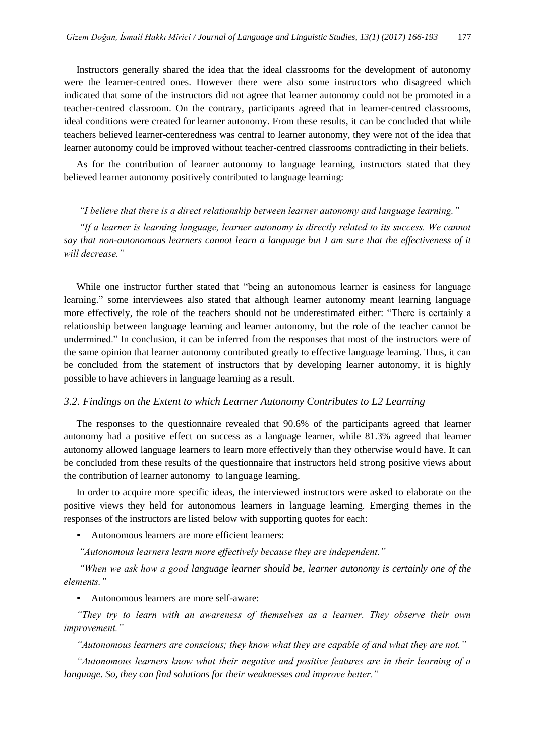Instructors generally shared the idea that the ideal classrooms for the development of autonomy were the learner-centred ones. However there were also some instructors who disagreed which indicated that some of the instructors did not agree that learner autonomy could not be promoted in a teacher-centred classroom. On the contrary, participants agreed that in learner-centred classrooms, ideal conditions were created for learner autonomy. From these results, it can be concluded that while teachers believed learner-centeredness was central to learner autonomy, they were not of the idea that learner autonomy could be improved without teacher-centred classrooms contradicting in their beliefs.

As for the contribution of learner autonomy to language learning, instructors stated that they believed learner autonomy positively contributed to language learning:

### *"I believe that there is a direct relationship between learner autonomy and language learning."*

*If a learner is learning language, learner autonomy is directly related to its success. We cannot say that non-autonomous learners cannot learn a language but I am sure that the effectiveness of it will decrease."*

While one instructor further stated that "being an autonomous learner is easiness for language learning." some interviewees also stated that although learner autonomy meant learning language more effectively, the role of the teachers should not be underestimated either: "There is certainly a relationship between language learning and learner autonomy, but the role of the teacher cannot be undermined." In conclusion, it can be inferred from the responses that most of the instructors were of the same opinion that learner autonomy contributed greatly to effective language learning. Thus, it can be concluded from the statement of instructors that by developing learner autonomy, it is highly possible to have achievers in language learning as a result.

## *3.2. Findings on the Extent to which Learner Autonomy Contributes to L2 Learning*

The responses to the questionnaire revealed that 90.6% of the participants agreed that learner autonomy had a positive effect on success as a language learner, while 81.3% agreed that learner autonomy allowed language learners to learn more effectively than they otherwise would have. It can be concluded from these results of the questionnaire that instructors held strong positive views about the contribution of learner autonomy to language learning.

In order to acquire more specific ideas, the interviewed instructors were asked to elaborate on the positive views they held for autonomous learners in language learning. Emerging themes in the responses of the instructors are listed below with supporting quotes for each:

• Autonomous learners are more efficient learners:

*"Autonomous learners learn more effectively because they are independent."*

*"When we ask how a good language learner should be, learner autonomy is certainly one of the elements."*

• Autonomous learners are more self-aware:

*"They try to learn with an awareness of themselves as a learner. They observe their own improvement."* 

*"Autonomous learners are conscious; they know what they are capable of and what they are not."* 

*"Autonomous learners know what their negative and positive features are in their learning of a language. So, they can find solutions for their weaknesses and improve better."*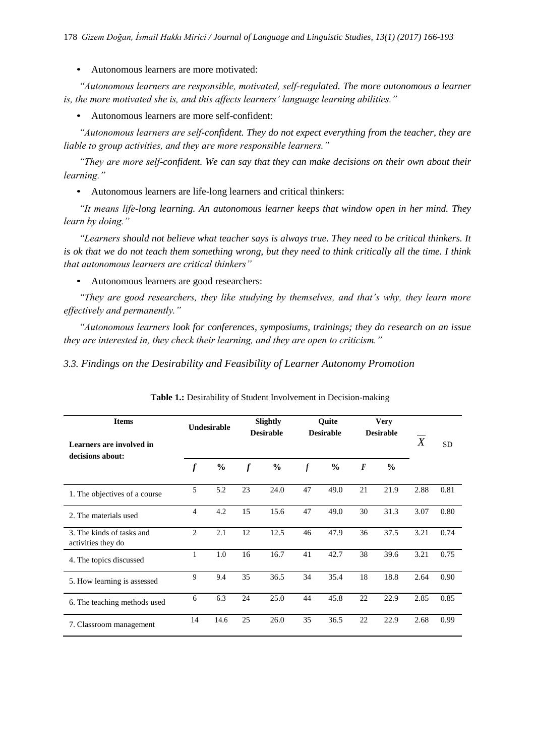• Autonomous learners are more motivated:

*"Autonomous learners are responsible, motivated, self-regulated. The more autonomous a learner is, the more motivated she is, and this affects learners' language learning abilities."*

• Autonomous learners are more self-confident:

*"Autonomous learners are self-confident. They do not expect everything from the teacher, they are liable to group activities, and they are more responsible learners."*

*"They are more self-confident. We can say that they can make decisions on their own about their learning."*

• Autonomous learners are life-long learners and critical thinkers:

*"It means life-long learning. An autonomous learner keeps that window open in her mind. They learn by doing."*

*"Learners should not believe what teacher says is always true. They need to be critical thinkers. It is ok that we do not teach them something wrong, but they need to think critically all the time. I think that autonomous learners are critical thinkers"* 

• Autonomous learners are good researchers:

*"They are good researchers, they like studying by themselves, and that's why, they learn more effectively and permanently."* 

*"Autonomous learners look for conferences, symposiums, trainings; they do research on an issue they are interested in, they check their learning, and they are open to criticism."* 

*3.3. Findings on the Desirability and Feasibility of Learner Autonomy Promotion* 

| <b>Items</b><br>Learners are involved in        |                  | Undesirable   |                  | Slightly<br><b>Desirable</b> |                  | Quite<br><b>Desirable</b> | <b>Very</b><br><b>Desirable</b> |               | $\boldsymbol{X}$ | <b>SD</b> |
|-------------------------------------------------|------------------|---------------|------------------|------------------------------|------------------|---------------------------|---------------------------------|---------------|------------------|-----------|
| decisions about:                                | $\boldsymbol{f}$ | $\frac{6}{6}$ | $\boldsymbol{f}$ | $\frac{0}{0}$                | $\boldsymbol{f}$ | $\frac{6}{9}$             | $\boldsymbol{F}$                | $\frac{0}{0}$ |                  |           |
| 1. The objectives of a course                   | $\mathfrak{F}$   | 5.2           | 23               | 24.0                         | 47               | 49.0                      | 21                              | 21.9          | 2.88             | 0.81      |
| 2. The materials used                           | 4                | 4.2           | 15               | 15.6                         | 47               | 49.0                      | 30                              | 31.3          | 3.07             | 0.80      |
| 3. The kinds of tasks and<br>activities they do | $\mathfrak{D}$   | 2.1           | 12               | 12.5                         | 46               | 47.9                      | 36                              | 37.5          | 3.21             | 0.74      |
| 4. The topics discussed                         | 1                | 1.0           | 16               | 16.7                         | 41               | 42.7                      | 38                              | 39.6          | 3.21             | 0.75      |
| 5. How learning is assessed                     | 9                | 9.4           | 35               | 36.5                         | 34               | 35.4                      | 18                              | 18.8          | 2.64             | 0.90      |
| 6. The teaching methods used                    | 6                | 6.3           | 24               | 25.0                         | 44               | 45.8                      | 22                              | 22.9          | 2.85             | 0.85      |
| 7. Classroom management                         | 14               | 14.6          | 25               | 26.0                         | 35               | 36.5                      | 22                              | 22.9          | 2.68             | 0.99      |

**Table 1.:** Desirability of Student Involvement in Decision-making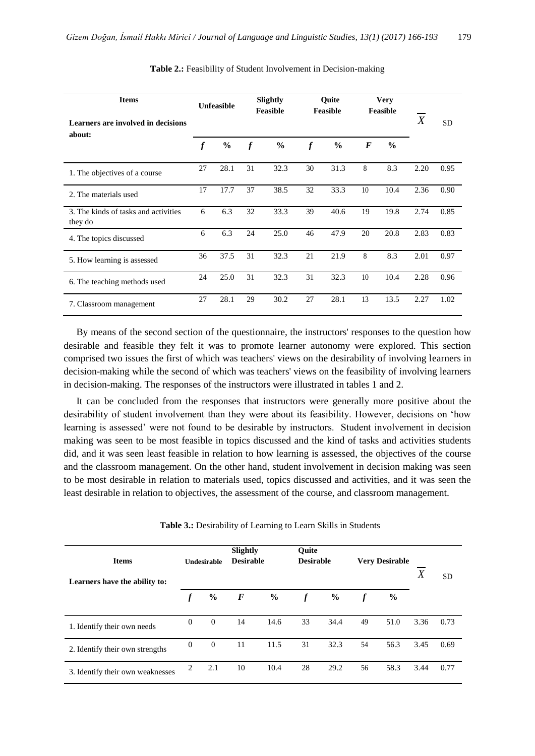| <b>Items</b><br>Learners are involved in decisions | <b>Unfeasible</b> |               |                  | Slightly<br><b>Feasible</b> |                  | Ouite<br><b>Feasible</b> | <b>Very</b><br>Feasible |               | $\boldsymbol{X}$ | <b>SD</b> |
|----------------------------------------------------|-------------------|---------------|------------------|-----------------------------|------------------|--------------------------|-------------------------|---------------|------------------|-----------|
| about:                                             | $\boldsymbol{f}$  | $\frac{0}{0}$ | $\boldsymbol{f}$ | $\frac{0}{0}$               | $\boldsymbol{f}$ | $\frac{0}{0}$            | $\bm{F}$                | $\frac{6}{6}$ |                  |           |
| 1. The objectives of a course                      | 27                | 28.1          | 31               | 32.3                        | 30               | 31.3                     | 8                       | 8.3           | 2.20             | 0.95      |
| 2. The materials used                              | 17                | 17.7          | 37               | 38.5                        | 32               | 33.3                     | 10                      | 10.4          | 2.36             | 0.90      |
| 3. The kinds of tasks and activities<br>they do    | 6                 | 6.3           | 32               | 33.3                        | 39               | 40.6                     | 19                      | 19.8          | 2.74             | 0.85      |
| 4. The topics discussed                            | 6                 | 6.3           | 24               | 25.0                        | 46               | 47.9                     | 20                      | 20.8          | 2.83             | 0.83      |
| 5. How learning is assessed                        | 36                | 37.5          | 31               | 32.3                        | 21               | 21.9                     | 8                       | 8.3           | 2.01             | 0.97      |
| 6. The teaching methods used                       | 24                | 25.0          | 31               | 32.3                        | 31               | 32.3                     | 10                      | 10.4          | 2.28             | 0.96      |
| 7. Classroom management                            | 27                | 28.1          | 29               | 30.2                        | 27               | 28.1                     | 13                      | 13.5          | 2.27             | 1.02      |

#### **Table 2.:** Feasibility of Student Involvement in Decision-making

By means of the second section of the questionnaire, the instructors' responses to the question how desirable and feasible they felt it was to promote learner autonomy were explored. This section comprised two issues the first of which was teachers' views on the desirability of involving learners in decision-making while the second of which was teachers' views on the feasibility of involving learners in decision-making. The responses of the instructors were illustrated in tables 1 and 2.

It can be concluded from the responses that instructors were generally more positive about the desirability of student involvement than they were about its feasibility. However, decisions on 'how learning is assessed' were not found to be desirable by instructors. Student involvement in decision making was seen to be most feasible in topics discussed and the kind of tasks and activities students did, and it was seen least feasible in relation to how learning is assessed, the objectives of the course and the classroom management. On the other hand, student involvement in decision making was seen to be most desirable in relation to materials used, topics discussed and activities, and it was seen the least desirable in relation to objectives, the assessment of the course, and classroom management.

|  |  | Table 3.: Desirability of Learning to Learn Skills in Students |  |  |  |  |  |  |
|--|--|----------------------------------------------------------------|--|--|--|--|--|--|
|--|--|----------------------------------------------------------------|--|--|--|--|--|--|

| <b>Items</b><br>Learners have the ability to: |          | <b>Undesirable</b> | <b>Slightly</b><br><b>Desirable</b> |               |                  | Ouite<br><b>Desirable</b><br><b>Very Desirable</b> |                  | X    | <b>SD</b> |      |
|-----------------------------------------------|----------|--------------------|-------------------------------------|---------------|------------------|----------------------------------------------------|------------------|------|-----------|------|
|                                               |          | $\frac{0}{0}$      | $\bm{F}$                            | $\frac{0}{0}$ | $\boldsymbol{f}$ | $\frac{0}{0}$                                      | $\boldsymbol{f}$ | $\%$ |           |      |
| 1. Identify their own needs                   | $\theta$ | $\theta$           | 14                                  | 14.6          | 33               | 34.4                                               | 49               | 51.0 | 3.36      | 0.73 |
| 2. Identify their own strengths               | $\theta$ | $\theta$           | 11                                  | 11.5          | 31               | 32.3                                               | 54               | 56.3 | 3.45      | 0.69 |
| 3. Identify their own weaknesses              | 2        | 2.1                | 10                                  | 10.4          | 28               | 29.2                                               | 56               | 58.3 | 3.44      | 0.77 |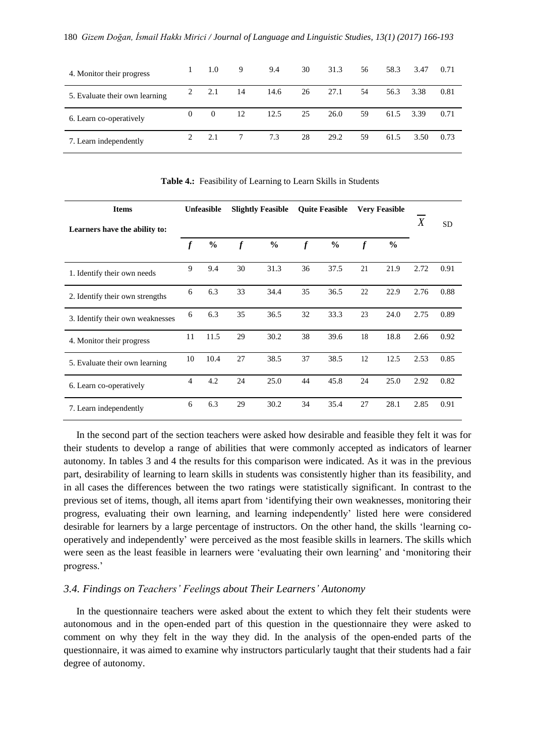| 4. Monitor their progress      |          | 1.0      | 9  | 9.4  | 30 | 31.3 | 56 | 58.3 | 3.47 | 0.71 |
|--------------------------------|----------|----------|----|------|----|------|----|------|------|------|
| 5. Evaluate their own learning | 2        | 2.1      | 14 | 14.6 | 26 | 27.1 | 54 | 56.3 | 3.38 | 0.81 |
| 6. Learn co-operatively        | $\Omega$ | $\Omega$ | 12 | 12.5 | 25 | 26.0 | 59 | 61.5 | 3.39 | 0.71 |
| 7. Learn independently         |          | 2.1      |    | 7.3  | 28 | 29.2 | 59 | 61.5 | 3.50 | 0.73 |

**Items Unfeasible Slightly Feasible Quite Feasible Very Feasible SD** Learners have the ability to: *X f* **%** *f* **%** *f* **%** *f* **%** 1. Identify their own needs <sup>9</sup> 9.4 <sup>30</sup> 31.3 <sup>36</sup> 37.5 <sup>21</sup> 21.9 2.72 0.91 2. Identify their own strengths 6 6.3 33 34.4 35 36.5 22 22.9 2.76 0.88 3. Identify their own weaknesses <sup>6</sup> 6.3 <sup>35</sup> 36.5 <sup>32</sup> 33.3 <sup>23</sup> 24.0 2.75 0.89 4. Monitor their progress <sup>11</sup> 11.5 <sup>29</sup> 30.2 <sup>38</sup> 39.6 <sup>18</sup> 18.8 2.66 0.92 5. Evaluate their own learning <sup>10</sup> 10.4 <sup>27</sup> 38.5 <sup>37</sup> 38.5 <sup>12</sup> 12.5 2.53 0.85 6. Learn co-operatively <sup>4</sup> 4.2 <sup>24</sup> 25.0 <sup>44</sup> 45.8 <sup>24</sup> 25.0 2.92 0.82 7. Learn independently <sup>6</sup> 6.3 <sup>29</sup> 30.2 <sup>34</sup> 35.4 <sup>27</sup> 28.1 2.85 0.91

**Table 4.:** Feasibility of Learning to Learn Skills in Students

In the second part of the section teachers were asked how desirable and feasible they felt it was for their students to develop a range of abilities that were commonly accepted as indicators of learner autonomy. In tables 3 and 4 the results for this comparison were indicated. As it was in the previous part, desirability of learning to learn skills in students was consistently higher than its feasibility, and in all cases the differences between the two ratings were statistically significant. In contrast to the previous set of items, though, all items apart from 'identifying their own weaknesses, monitoring their progress, evaluating their own learning, and learning independently' listed here were considered desirable for learners by a large percentage of instructors. On the other hand, the skills 'learning cooperatively and independently' were perceived as the most feasible skills in learners. The skills which were seen as the least feasible in learners were 'evaluating their own learning' and 'monitoring their progress.'

# *3.4. Findings on Teachers' Feelings about Their Learners' Autonomy*

In the questionnaire teachers were asked about the extent to which they felt their students were autonomous and in the open-ended part of this question in the questionnaire they were asked to comment on why they felt in the way they did. In the analysis of the open-ended parts of the questionnaire, it was aimed to examine why instructors particularly taught that their students had a fair degree of autonomy.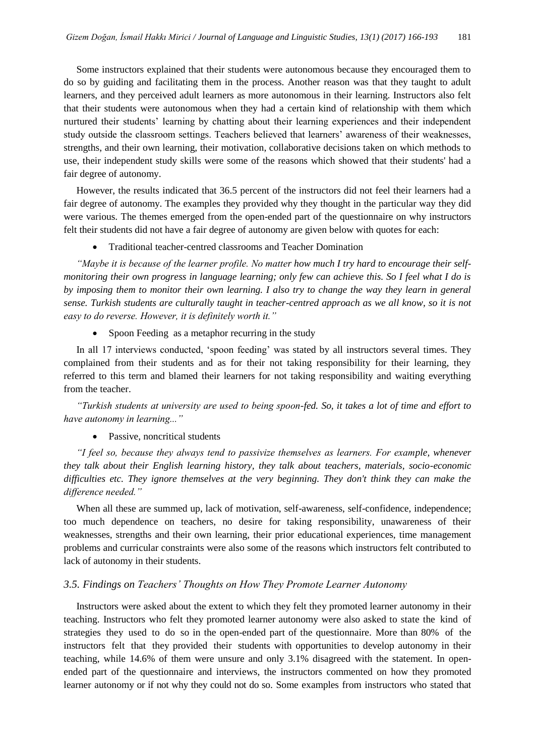Some instructors explained that their students were autonomous because they encouraged them to do so by guiding and facilitating them in the process. Another reason was that they taught to adult learners, and they perceived adult learners as more autonomous in their learning. Instructors also felt that their students were autonomous when they had a certain kind of relationship with them which nurtured their students' learning by chatting about their learning experiences and their independent study outside the classroom settings. Teachers believed that learners' awareness of their weaknesses, strengths, and their own learning, their motivation, collaborative decisions taken on which methods to use, their independent study skills were some of the reasons which showed that their students' had a fair degree of autonomy.

However, the results indicated that 36.5 percent of the instructors did not feel their learners had a fair degree of autonomy. The examples they provided why they thought in the particular way they did were various. The themes emerged from the open-ended part of the questionnaire on why instructors felt their students did not have a fair degree of autonomy are given below with quotes for each:

Traditional teacher-centred classrooms and Teacher Domination

*"Maybe it is because of the learner profile. No matter how much I try hard to encourage their selfmonitoring their own progress in language learning; only few can achieve this. So I feel what I do is by imposing them to monitor their own learning. I also try to change the way they learn in general sense. Turkish students are culturally taught in teacher-centred approach as we all know, so it is not easy to do reverse. However, it is definitely worth it."* 

Spoon Feeding as a metaphor recurring in the study

In all 17 interviews conducted, 'spoon feeding' was stated by all instructors several times. They complained from their students and as for their not taking responsibility for their learning, they referred to this term and blamed their learners for not taking responsibility and waiting everything from the teacher.

*"Turkish students at university are used to being spoon-fed. So, it takes a lot of time and effort to have autonomy in learning..."* 

• Passive, noncritical students

*"I feel so, because they always tend to passivize themselves as learners. For example, whenever they talk about their English learning history, they talk about teachers, materials, socio-economic difficulties etc. They ignore themselves at the very beginning. They don't think they can make the difference needed."* 

When all these are summed up, lack of motivation, self-awareness, self-confidence, independence; too much dependence on teachers, no desire for taking responsibility, unawareness of their weaknesses, strengths and their own learning, their prior educational experiences, time management problems and curricular constraints were also some of the reasons which instructors felt contributed to lack of autonomy in their students.

# *3.5. Findings on Teachers' Thoughts on How They Promote Learner Autonomy*

Instructors were asked about the extent to which they felt they promoted learner autonomy in their teaching. Instructors who felt they promoted learner autonomy were also asked to state the kind of strategies they used to do so in the open-ended part of the questionnaire. More than 80% of the instructors felt that they provided their students with opportunities to develop autonomy in their teaching, while 14.6% of them were unsure and only 3.1% disagreed with the statement. In openended part of the questionnaire and interviews, the instructors commented on how they promoted learner autonomy or if not why they could not do so. Some examples from instructors who stated that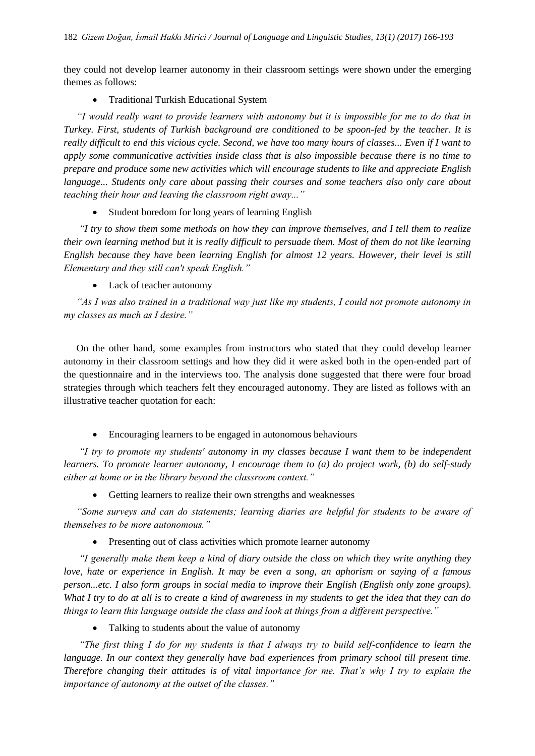they could not develop learner autonomy in their classroom settings were shown under the emerging themes as follows:

• Traditional Turkish Educational System

*"I would really want to provide learners with autonomy but it is impossible for me to do that in Turkey. First, students of Turkish background are conditioned to be spoon-fed by the teacher. It is really difficult to end this vicious cycle. Second, we have too many hours of classes... Even if I want to apply some communicative activities inside class that is also impossible because there is no time to prepare and produce some new activities which will encourage students to like and appreciate English language... Students only care about passing their courses and some teachers also only care about teaching their hour and leaving the classroom right away..."*

Student boredom for long years of learning English

*"I try to show them some methods on how they can improve themselves, and I tell them to realize their own learning method but it is really difficult to persuade them. Most of them do not like learning English because they have been learning English for almost 12 years. However, their level is still Elementary and they still can't speak English."*

Lack of teacher autonomy

*"As I was also trained in a traditional way just like my students, I could not promote autonomy in my classes as much as I desire."* 

On the other hand, some examples from instructors who stated that they could develop learner autonomy in their classroom settings and how they did it were asked both in the open-ended part of the questionnaire and in the interviews too. The analysis done suggested that there were four broad strategies through which teachers felt they encouraged autonomy. They are listed as follows with an illustrative teacher quotation for each:

Encouraging learners to be engaged in autonomous behaviours

*"I try to promote my students' autonomy in my classes because I want them to be independent learners. To promote learner autonomy, I encourage them to (a) do project work, (b) do self-study either at home or in the library beyond the classroom context."*

• Getting learners to realize their own strengths and weaknesses

*"Some surveys and can do statements; learning diaries are helpful for students to be aware of themselves to be more autonomous."*

• Presenting out of class activities which promote learner autonomy

*"I generally make them keep a kind of diary outside the class on which they write anything they love, hate or experience in English. It may be even a song, an aphorism or saying of a famous person...etc. I also form groups in social media to improve their English (English only zone groups). What I try to do at all is to create a kind of awareness in my students to get the idea that they can do things to learn this language outside the class and look at things from a different perspective."*

• Talking to students about the value of autonomy

*"The first thing I do for my students is that I always try to build self-confidence to learn the language. In our context they generally have bad experiences from primary school till present time. Therefore changing their attitudes is of vital importance for me. That's why I try to explain the importance of autonomy at the outset of the classes."*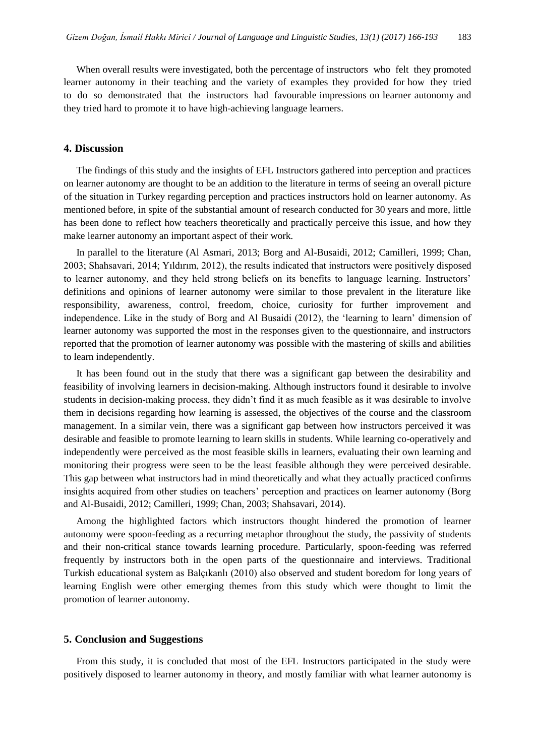When overall results were investigated, both the percentage of instructors who felt they promoted learner autonomy in their teaching and the variety of examples they provided for how they tried to do so demonstrated that the instructors had favourable impressions on learner autonomy and they tried hard to promote it to have high-achieving language learners.

## **4. Discussion**

The findings of this study and the insights of EFL Instructors gathered into perception and practices on learner autonomy are thought to be an addition to the literature in terms of seeing an overall picture of the situation in Turkey regarding perception and practices instructors hold on learner autonomy. As mentioned before, in spite of the substantial amount of research conducted for 30 years and more, little has been done to reflect how teachers theoretically and practically perceive this issue, and how they make learner autonomy an important aspect of their work.

In parallel to the literature (Al Asmari, 2013; Borg and Al-Busaidi, 2012; Camilleri, 1999; Chan, 2003; Shahsavari, 2014; Yıldırım, 2012), the results indicated that instructors were positively disposed to learner autonomy, and they held strong beliefs on its benefits to language learning. Instructors' definitions and opinions of learner autonomy were similar to those prevalent in the literature like responsibility, awareness, control, freedom, choice, curiosity for further improvement and independence. Like in the study of Borg and Al Busaidi (2012), the 'learning to learn' dimension of learner autonomy was supported the most in the responses given to the questionnaire, and instructors reported that the promotion of learner autonomy was possible with the mastering of skills and abilities to learn independently.

It has been found out in the study that there was a significant gap between the desirability and feasibility of involving learners in decision-making. Although instructors found it desirable to involve students in decision-making process, they didn't find it as much feasible as it was desirable to involve them in decisions regarding how learning is assessed, the objectives of the course and the classroom management. In a similar vein, there was a significant gap between how instructors perceived it was desirable and feasible to promote learning to learn skills in students. While learning co-operatively and independently were perceived as the most feasible skills in learners, evaluating their own learning and monitoring their progress were seen to be the least feasible although they were perceived desirable. This gap between what instructors had in mind theoretically and what they actually practiced confirms insights acquired from other studies on teachers' perception and practices on learner autonomy (Borg and Al-Busaidi, 2012; Camilleri, 1999; Chan, 2003; Shahsavari, 2014).

Among the highlighted factors which instructors thought hindered the promotion of learner autonomy were spoon-feeding as a recurring metaphor throughout the study, the passivity of students and their non-critical stance towards learning procedure. Particularly, spoon-feeding was referred frequently by instructors both in the open parts of the questionnaire and interviews. Traditional Turkish educational system as Balçıkanlı (2010) also observed and student boredom for long years of learning English were other emerging themes from this study which were thought to limit the promotion of learner autonomy.

## **5. Conclusion and Suggestions**

From this study, it is concluded that most of the EFL Instructors participated in the study were positively disposed to learner autonomy in theory, and mostly familiar with what learner autonomy is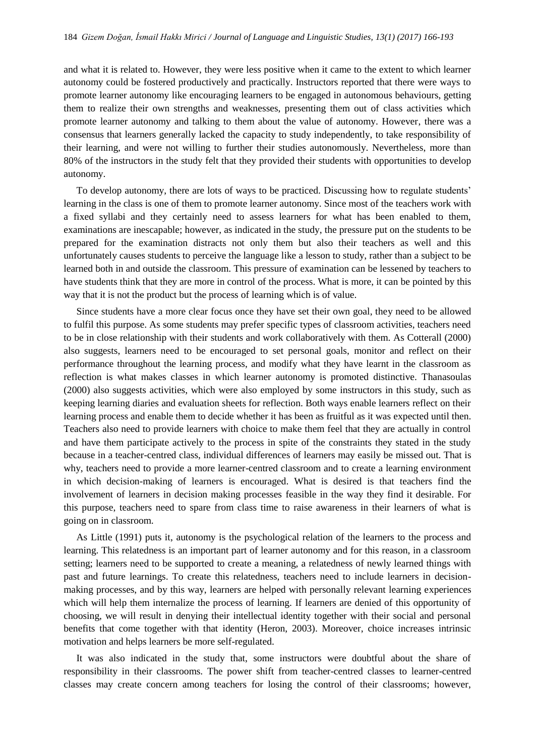and what it is related to. However, they were less positive when it came to the extent to which learner autonomy could be fostered productively and practically. Instructors reported that there were ways to promote learner autonomy like encouraging learners to be engaged in autonomous behaviours, getting them to realize their own strengths and weaknesses, presenting them out of class activities which promote learner autonomy and talking to them about the value of autonomy. However, there was a consensus that learners generally lacked the capacity to study independently, to take responsibility of their learning, and were not willing to further their studies autonomously. Nevertheless, more than 80% of the instructors in the study felt that they provided their students with opportunities to develop autonomy.

To develop autonomy, there are lots of ways to be practiced. Discussing how to regulate students' learning in the class is one of them to promote learner autonomy. Since most of the teachers work with a fixed syllabi and they certainly need to assess learners for what has been enabled to them, examinations are inescapable; however, as indicated in the study, the pressure put on the students to be prepared for the examination distracts not only them but also their teachers as well and this unfortunately causes students to perceive the language like a lesson to study, rather than a subject to be learned both in and outside the classroom. This pressure of examination can be lessened by teachers to have students think that they are more in control of the process. What is more, it can be pointed by this way that it is not the product but the process of learning which is of value.

Since students have a more clear focus once they have set their own goal, they need to be allowed to fulfil this purpose. As some students may prefer specific types of classroom activities, teachers need to be in close relationship with their students and work collaboratively with them. As Cotterall (2000) also suggests, learners need to be encouraged to set personal goals, monitor and reflect on their performance throughout the learning process, and modify what they have learnt in the classroom as reflection is what makes classes in which learner autonomy is promoted distinctive. Thanasoulas (2000) also suggests activities, which were also employed by some instructors in this study, such as keeping learning diaries and evaluation sheets for reflection. Both ways enable learners reflect on their learning process and enable them to decide whether it has been as fruitful as it was expected until then. Teachers also need to provide learners with choice to make them feel that they are actually in control and have them participate actively to the process in spite of the constraints they stated in the study because in a teacher-centred class, individual differences of learners may easily be missed out. That is why, teachers need to provide a more learner-centred classroom and to create a learning environment in which decision-making of learners is encouraged. What is desired is that teachers find the involvement of learners in decision making processes feasible in the way they find it desirable. For this purpose, teachers need to spare from class time to raise awareness in their learners of what is going on in classroom.

As Little (1991) puts it, autonomy is the psychological relation of the learners to the process and learning. This relatedness is an important part of learner autonomy and for this reason, in a classroom setting; learners need to be supported to create a meaning, a relatedness of newly learned things with past and future learnings. To create this relatedness, teachers need to include learners in decisionmaking processes, and by this way, learners are helped with personally relevant learning experiences which will help them internalize the process of learning. If learners are denied of this opportunity of choosing, we will result in denying their intellectual identity together with their social and personal benefits that come together with that identity (Heron, 2003). Moreover, choice increases intrinsic motivation and helps learners be more self-regulated.

It was also indicated in the study that, some instructors were doubtful about the share of responsibility in their classrooms. The power shift from teacher-centred classes to learner-centred classes may create concern among teachers for losing the control of their classrooms; however,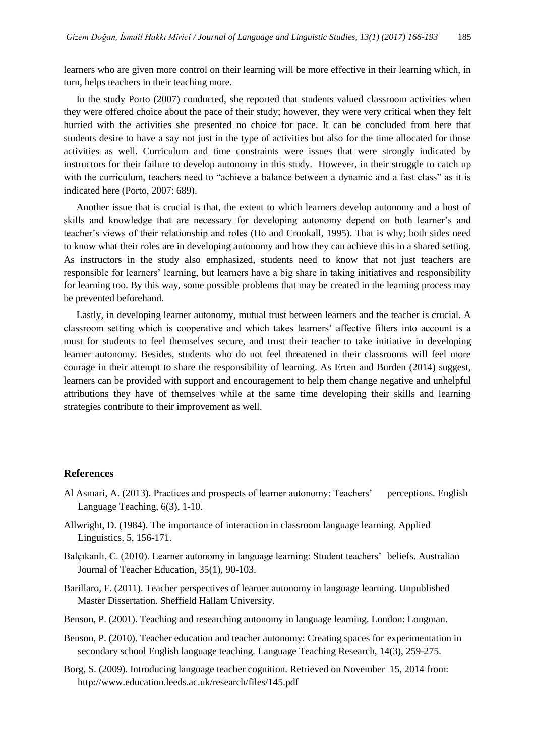learners who are given more control on their learning will be more effective in their learning which, in turn, helps teachers in their teaching more.

In the study Porto (2007) conducted, she reported that students valued classroom activities when they were offered choice about the pace of their study; however, they were very critical when they felt hurried with the activities she presented no choice for pace. It can be concluded from here that students desire to have a say not just in the type of activities but also for the time allocated for those activities as well. Curriculum and time constraints were issues that were strongly indicated by instructors for their failure to develop autonomy in this study. However, in their struggle to catch up with the curriculum, teachers need to "achieve a balance between a dynamic and a fast class" as it is indicated here (Porto, 2007: 689).

Another issue that is crucial is that, the extent to which learners develop autonomy and a host of skills and knowledge that are necessary for developing autonomy depend on both learner's and teacher's views of their relationship and roles (Ho and Crookall, 1995). That is why; both sides need to know what their roles are in developing autonomy and how they can achieve this in a shared setting. As instructors in the study also emphasized, students need to know that not just teachers are responsible for learners' learning, but learners have a big share in taking initiatives and responsibility for learning too. By this way, some possible problems that may be created in the learning process may be prevented beforehand.

Lastly, in developing learner autonomy, mutual trust between learners and the teacher is crucial. A classroom setting which is cooperative and which takes learners' affective filters into account is a must for students to feel themselves secure, and trust their teacher to take initiative in developing learner autonomy. Besides, students who do not feel threatened in their classrooms will feel more courage in their attempt to share the responsibility of learning. As Erten and Burden (2014) suggest, learners can be provided with support and encouragement to help them change negative and unhelpful attributions they have of themselves while at the same time developing their skills and learning strategies contribute to their improvement as well.

## **References**

- Al Asmari, A. (2013). Practices and prospects of learner autonomy: Teachers' perceptions. English Language Teaching, 6(3), 1-10.
- Allwright, D. (1984). The importance of interaction in classroom language learning. Applied Linguistics, 5, 156-171.
- Balçıkanlı, C. (2010). Learner autonomy in language learning: Student teachers' beliefs. Australian Journal of Teacher Education, 35(1), 90-103.
- Barillaro, F. (2011). Teacher perspectives of learner autonomy in language learning. Unpublished Master Dissertation. Sheffield Hallam University.
- Benson, P. (2001). Teaching and researching autonomy in language learning. London: Longman.
- Benson, P. (2010). Teacher education and teacher autonomy: Creating spaces for experimentation in secondary school English language teaching. Language Teaching Research, 14(3), 259-275.
- Borg, S. (2009). Introducing language teacher cognition. Retrieved on November 15, 2014 from: <http://www.education.leeds.ac.uk/research/files/145.pdf>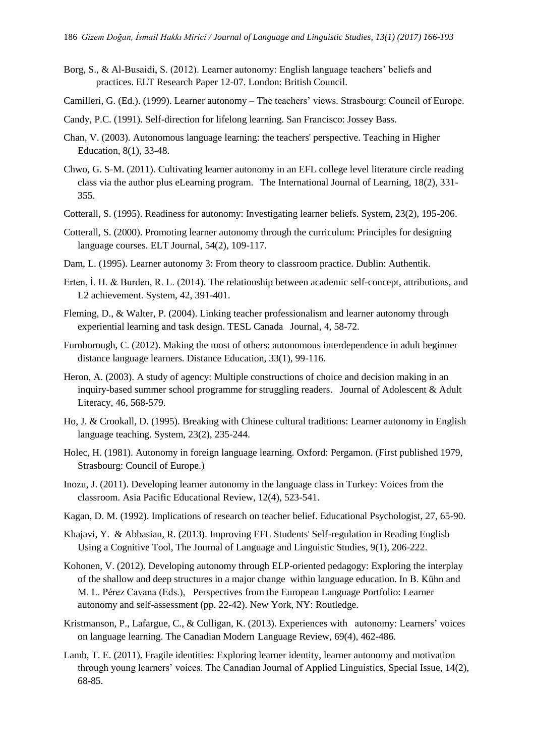- Borg, S., & Al-Busaidi, S. (2012). Learner autonomy: English language teachers' beliefs and practices. ELT Research Paper 12-07. London: British Council.
- Camilleri, G. (Ed.). (1999). Learner autonomy The teachers' views. Strasbourg: Council of Europe.
- Candy, P.C. (1991). Self-direction for lifelong learning. San Francisco: Jossey Bass.
- Chan, V. (2003). Autonomous language learning: the teachers' perspective. Teaching in Higher Education, 8(1), 33-48.
- Chwo, G. S-M. (2011). Cultivating learner autonomy in an EFL college level literature circle reading class via the author plus eLearning program. The International Journal of Learning, 18(2), 331- 355.
- Cotterall, S. (1995). Readiness for autonomy: Investigating learner beliefs. System, 23(2), 195-206.
- Cotterall, S. (2000). Promoting learner autonomy through the curriculum: Principles for designing language courses. ELT Journal, 54(2), 109-117.
- Dam, L. (1995). Learner autonomy 3: From theory to classroom practice. Dublin: Authentik.
- Erten, İ. H. & Burden, R. L. (2014). The relationship between academic self-concept, attributions, and L2 achievement. System, 42, 391-401.
- Fleming, D., & Walter, P. (2004). Linking teacher professionalism and learner autonomy through experiential learning and task design. TESL Canada Journal, 4, 58-72.
- Furnborough, C. (2012). Making the most of others: autonomous interdependence in adult beginner distance language learners. Distance Education, 33(1), 99-116.
- Heron, A. (2003). A study of agency: Multiple constructions of choice and decision making in an inquiry-based summer school programme for struggling readers. Journal of Adolescent & Adult Literacy, 46, 568-579.
- Ho, J. & Crookall, D. (1995). Breaking with Chinese cultural traditions: Learner autonomy in English language teaching. System, 23(2), 235-244.
- Holec, H. (1981). Autonomy in foreign language learning. Oxford: Pergamon. (First published 1979, Strasbourg: Council of Europe.)
- Inozu, J. (2011). Developing learner autonomy in the language class in Turkey: Voices from the classroom. Asia Pacific Educational Review, 12(4), 523-541.
- Kagan, D. M. (1992). Implications of research on teacher belief. Educational Psychologist, 27, 65-90.
- Khajavi, Y. & Abbasian, R. (2013). Improving EFL Students' Self-regulation in Reading English Using a Cognitive Tool, The Journal of Language and Linguistic Studies, 9(1), 206-222.
- Kohonen, V. (2012). Developing autonomy through ELP-oriented pedagogy: Exploring the interplay of the shallow and deep structures in a major change within language education. In B. Kühn and M. L. Pérez Cavana (Eds.), Perspectives from the European Language Portfolio: Learner autonomy and self-assessment (pp. 22-42). New York, NY: Routledge.
- Kristmanson, P., Lafargue, C., & Culligan, K. (2013). Experiences with autonomy: Learners' voices on language learning. The Canadian Modern Language Review, 69(4), 462-486.
- Lamb, T. E. (2011). Fragile identities: Exploring learner identity, learner autonomy and motivation through young learners' voices. The Canadian Journal of Applied Linguistics, Special Issue, 14(2), 68-85.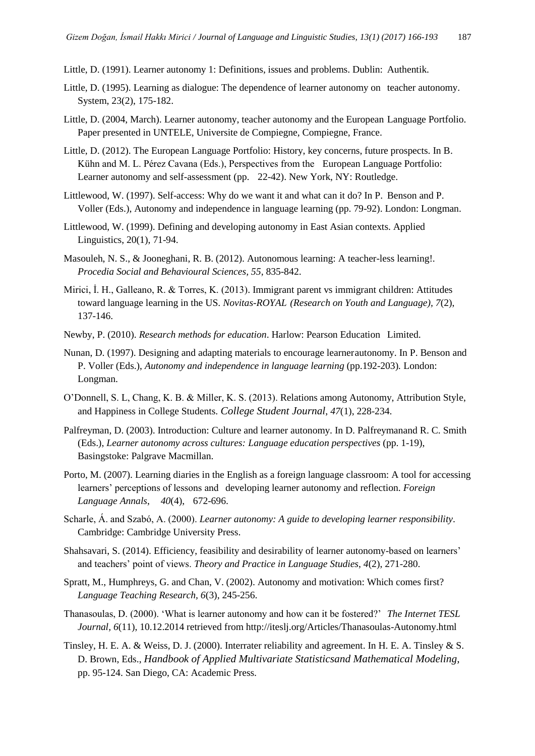Little, D. (1991). Learner autonomy 1: Definitions, issues and problems. Dublin: Authentik.

- Little, D. (1995). Learning as dialogue: The dependence of learner autonomy on teacher autonomy. System, 23(2), 175-182.
- Little, D. (2004, March). Learner autonomy, teacher autonomy and the European Language Portfolio. Paper presented in UNTELE, Universite de Compiegne, Compiegne, France.
- Little, D. (2012). The European Language Portfolio: History, key concerns, future prospects. In B. Kühn and M. L. Pérez Cavana (Eds.), Perspectives from the European Language Portfolio: Learner autonomy and self-assessment (pp. 22-42). New York, NY: Routledge.
- Littlewood, W. (1997). Self-access: Why do we want it and what can it do? In P. Benson and P. Voller (Eds.), Autonomy and independence in language learning (pp. 79-92). London: Longman.
- Littlewood, W. (1999). Defining and developing autonomy in East Asian contexts. Applied Linguistics, 20(1), 71-94.
- Masouleh, N. S., & Jooneghani, R. B. (2012). Autonomous learning: A teacher-less learning!. *Procedia Social and Behavioural Sciences, 55*, 835-842.
- Mirici, İ. H., Galleano, R. & Torres, K. (2013). Immigrant parent vs immigrant children: Attitudes toward language learning in the US. *Novitas-ROYAL (Research on Youth and Language), 7*(2), 137-146.
- Newby, P. (2010). *Research methods for education*. Harlow: Pearson Education Limited.
- Nunan, D. (1997). Designing and adapting materials to encourage learnerautonomy. In P. Benson and P. Voller (Eds.), *Autonomy and independence in language learning* (pp.192-203)*.* London: Longman.
- O'Donnell, S. L, Chang, K. B. & Miller, K. S. (2013). Relations among Autonomy, Attribution Style, and Happiness in College Students. *College Student Journal*, *47*(1), 228-234.
- Palfreyman, D. (2003). Introduction: Culture and learner autonomy. In D. Palfreymanand R. C. Smith (Eds.), *Learner autonomy across cultures: Language education perspectives* (pp. 1-19), Basingstoke: Palgrave Macmillan.
- Porto, M. (2007). Learning diaries in the English as a foreign language classroom: A tool for accessing learners' perceptions of lessons and developing learner autonomy and reflection. *Foreign Language Annals*, *40*(4), 672-696.
- Scharle, Á. and Szabó, A. (2000). *Learner autonomy: A guide to developing learner responsibility*. Cambridge: Cambridge University Press.
- Shahsavari, S. (2014). Efficiency, feasibility and desirability of learner autonomy-based on learners' and teachers' point of views. *Theory and Practice in Language Studies*, *4*(2), 271-280.
- Spratt, M., Humphreys, G. and Chan, V. (2002). Autonomy and motivation: Which comes first? *Language Teaching Research, 6*(3), 245-256.
- Thanasoulas, D. (2000). 'What is learner autonomy and how can it be fostered?' *The Internet TESL Journal, 6*(11), 10.12.2014 retrieved from http://iteslj.org/Articles/Thanasoulas-Autonomy.html
- Tinsley, H. E. A. & Weiss, D. J. (2000). Interrater reliability and agreement. In H. E. A. Tinsley & S. D. Brown, Eds., *Handbook of Applied Multivariate Statisticsand Mathematical Modeling,* pp. 95-124. San Diego, CA: Academic Press.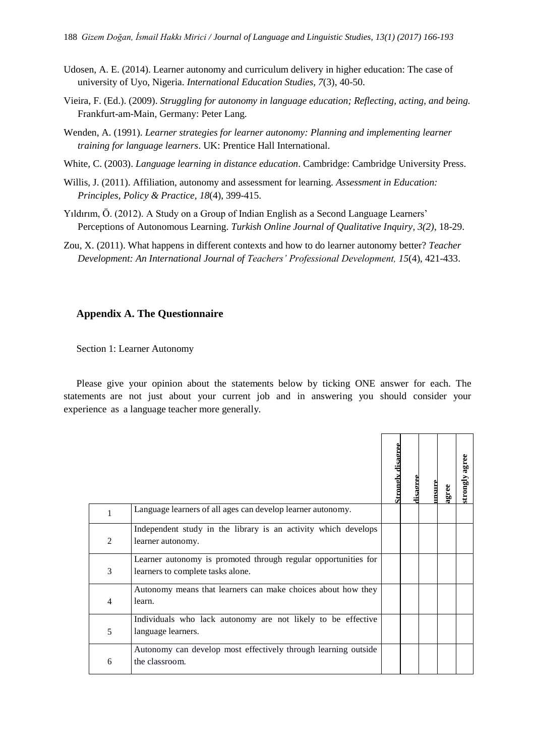- Udosen, A. E. (2014). Learner autonomy and curriculum delivery in higher education: The case of university of Uyo, Nigeria. *International Education Studies, 7*(3), 40-50.
- Vieira, F. (Ed.). (2009). *Struggling for autonomy in language education; Reflecting, acting, and being.* Frankfurt-am-Main, Germany: Peter Lang.
- Wenden, A. (1991). *Learner strategies for learner autonomy: Planning and implementing learner training for language learners*. UK: Prentice Hall International.
- White, C. (2003). *Language learning in distance education*. Cambridge: Cambridge University Press.
- Willis, J. (2011). Affiliation, autonomy and assessment for learning. *Assessment in Education: Principles, Policy & Practice, 18*(4), 399-415.
- Yıldırım, Ö. (2012). A Study on a Group of Indian English as a Second Language Learners' Perceptions of Autonomous Learning. *Turkish Online Journal of Qualitative Inquiry, 3(2)*, 18-29.
- Zou, X. (2011). What happens in different contexts and how to do learner autonomy better? *Teacher Development: An International Journal of Teachers' Professional Development, 15*(4), 421-433.

# **Appendix A. The Questionnaire**

Section 1: Learner Autonomy

Please give your opinion about the statements below by ticking ONE answer for each. The statements are not just about your current job and in answering you should consider your experience as a language teacher more generally.

|                |                                                                                                     | <u>Strongly disagree</u> | disagree | msur | agree | strongly agree |
|----------------|-----------------------------------------------------------------------------------------------------|--------------------------|----------|------|-------|----------------|
| 1              | Language learners of all ages can develop learner autonomy.                                         |                          |          |      |       |                |
| $\overline{2}$ | Independent study in the library is an activity which develops<br>learner autonomy.                 |                          |          |      |       |                |
| 3              | Learner autonomy is promoted through regular opportunities for<br>learners to complete tasks alone. |                          |          |      |       |                |
| $\overline{4}$ | Autonomy means that learners can make choices about how they<br>learn.                              |                          |          |      |       |                |
| 5              | Individuals who lack autonomy are not likely to be effective<br>language learners.                  |                          |          |      |       |                |
| 6              | Autonomy can develop most effectively through learning outside<br>the classroom.                    |                          |          |      |       |                |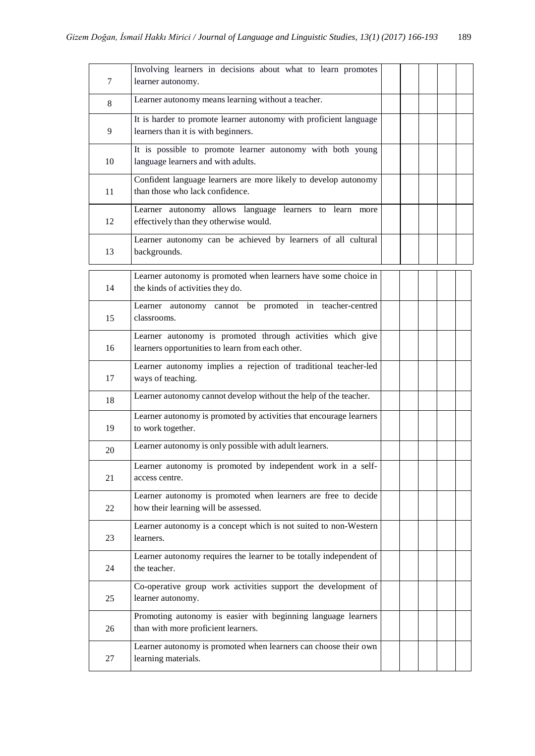| 7  | Involving learners in decisions about what to learn promotes<br>learner autonomy.                              |  |  |  |
|----|----------------------------------------------------------------------------------------------------------------|--|--|--|
| 8  | Learner autonomy means learning without a teacher.                                                             |  |  |  |
| 9  | It is harder to promote learner autonomy with proficient language<br>learners than it is with beginners.       |  |  |  |
| 10 | It is possible to promote learner autonomy with both young<br>language learners and with adults.               |  |  |  |
| 11 | Confident language learners are more likely to develop autonomy<br>than those who lack confidence.             |  |  |  |
| 12 | Learner autonomy allows language learners to learn more<br>effectively than they otherwise would.              |  |  |  |
| 13 | Learner autonomy can be achieved by learners of all cultural<br>backgrounds.                                   |  |  |  |
| 14 | Learner autonomy is promoted when learners have some choice in<br>the kinds of activities they do.             |  |  |  |
| 15 | Learner autonomy cannot be promoted in teacher-centred<br>classrooms.                                          |  |  |  |
| 16 | Learner autonomy is promoted through activities which give<br>learners opportunities to learn from each other. |  |  |  |
| 17 | Learner autonomy implies a rejection of traditional teacher-led<br>ways of teaching.                           |  |  |  |
| 18 | Learner autonomy cannot develop without the help of the teacher.                                               |  |  |  |
| 19 | Learner autonomy is promoted by activities that encourage learners<br>to work together.                        |  |  |  |
| 20 | Learner autonomy is only possible with adult learners.                                                         |  |  |  |
| 21 | Learner autonomy is promoted by independent work in a self-<br>access centre.                                  |  |  |  |
| 22 | Learner autonomy is promoted when learners are free to decide<br>how their learning will be assessed.          |  |  |  |
| 23 | Learner autonomy is a concept which is not suited to non-Western<br>learners.                                  |  |  |  |
| 24 | Learner autonomy requires the learner to be totally independent of<br>the teacher.                             |  |  |  |
| 25 | Co-operative group work activities support the development of<br>learner autonomy.                             |  |  |  |
| 26 | Promoting autonomy is easier with beginning language learners<br>than with more proficient learners.           |  |  |  |
| 27 | Learner autonomy is promoted when learners can choose their own<br>learning materials.                         |  |  |  |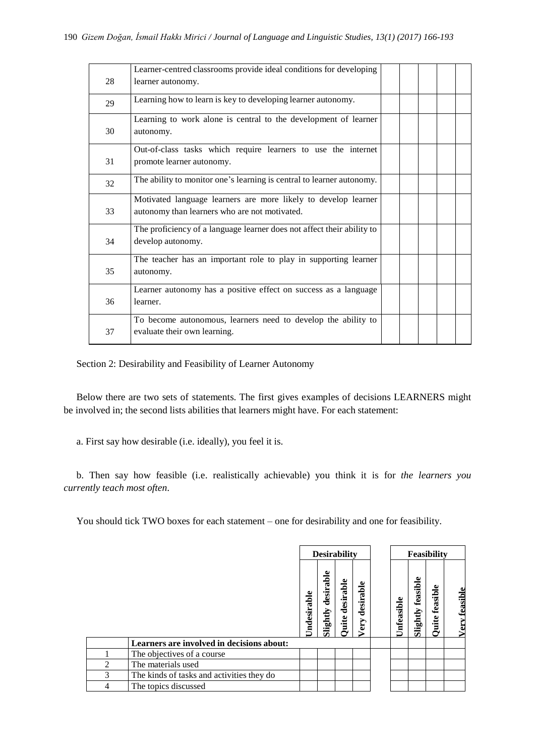|    | Learner-centred classrooms provide ideal conditions for developing                                              |  |  |  |
|----|-----------------------------------------------------------------------------------------------------------------|--|--|--|
| 28 | learner autonomy.                                                                                               |  |  |  |
| 29 | Learning how to learn is key to developing learner autonomy.                                                    |  |  |  |
| 30 | Learning to work alone is central to the development of learner<br>autonomy.                                    |  |  |  |
| 31 | Out-of-class tasks which require learners to use the internet<br>promote learner autonomy.                      |  |  |  |
| 32 | The ability to monitor one's learning is central to learner autonomy.                                           |  |  |  |
| 33 | Motivated language learners are more likely to develop learner<br>autonomy than learners who are not motivated. |  |  |  |
| 34 | The proficiency of a language learner does not affect their ability to<br>develop autonomy.                     |  |  |  |
| 35 | The teacher has an important role to play in supporting learner<br>autonomy.                                    |  |  |  |
| 36 | Learner autonomy has a positive effect on success as a language<br>learner.                                     |  |  |  |
| 37 | To become autonomous, learners need to develop the ability to<br>evaluate their own learning.                   |  |  |  |

Section 2: Desirability and Feasibility of Learner Autonomy

Below there are two sets of statements. The first gives examples of decisions LEARNERS might be involved in; the second lists abilities that learners might have. For each statement:

a. First say how desirable (i.e. ideally), you feel it is.

b. Then say how feasible (i.e. realistically achievable) you think it is for *the learners you currently teach most often*.

You should tick TWO boxes for each statement – one for desirability and one for feasibility.

|                             |                                           |            | <b>Desirability</b>                     |                    |                   |            | <b>Feasibility</b>   |                     |                      |
|-----------------------------|-------------------------------------------|------------|-----------------------------------------|--------------------|-------------------|------------|----------------------|---------------------|----------------------|
|                             |                                           | Jndesirabl | Φ<br><b>dd</b><br>esir<br>ರ<br>Slightly | desirable<br>Quite | desirable<br>Very | Unfeasible | feasible<br>Slightly | feasible<br>Quite : | <b>Very feasible</b> |
|                             | Learners are involved in decisions about: |            |                                         |                    |                   |            |                      |                     |                      |
|                             | The objectives of a course                |            |                                         |                    |                   |            |                      |                     |                      |
| $\mathcal{D}_{\mathcal{L}}$ | The materials used                        |            |                                         |                    |                   |            |                      |                     |                      |
| 3                           | The kinds of tasks and activities they do |            |                                         |                    |                   |            |                      |                     |                      |
| 4                           | The topics discussed                      |            |                                         |                    |                   |            |                      |                     |                      |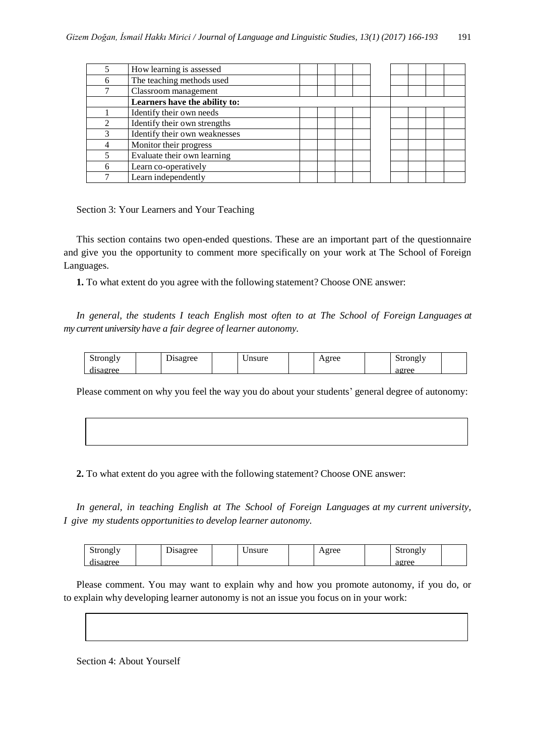|                             | How learning is assessed      |  |
|-----------------------------|-------------------------------|--|
|                             | The teaching methods used     |  |
|                             | Classroom management          |  |
|                             | Learners have the ability to: |  |
|                             | Identify their own needs      |  |
| $\mathcal{D}_{\mathcal{L}}$ | Identify their own strengths  |  |
|                             | Identify their own weaknesses |  |
|                             | Monitor their progress        |  |
|                             | Evaluate their own learning   |  |
|                             | Learn co-operatively          |  |
|                             | Learn independently           |  |

Section 3: Your Learners and Your Teaching

This section contains two open-ended questions. These are an important part of the questionnaire and give you the opportunity to comment more specifically on your work at The School of Foreign Languages.

**1.** To what extent do you agree with the following statement? Choose ONE answer:

*In general, the students I teach English most often to at The School of Foreign Languages at my current university have a fair degree of learner autonomy.*

| strongly<br>~<br>. . | $\sim$<br>$\alpha$ ree<br>-sagice<br>Ë | $n$ $c$ 11 $r$ $\alpha$<br>usult | $\triangle$ gree | Strongly<br>ັ               |  |
|----------------------|----------------------------------------|----------------------------------|------------------|-----------------------------|--|
| 0000<br>. <i>. .</i> |                                        |                                  |                  | مم <del>ین</del> و<br>agict |  |

Please comment on why you feel the way you do about your students' general degree of autonomy:

**2.** To what extent do you agree with the following statement? Choose ONE answer:

*In general, in teaching English at The School of Foreign Languages at my current university, I give my students opportunities to develop learner autonomy.*

| $\sim$ m $\sim$ l $\tau$<br>. . | $\overline{\phantom{a}}$ | $\alpha$ ra $\alpha$<br>v<br>c | nsure | $\sigma$ ree<br>21 UU<br>. . | ມບ<br>$\cdots$<br>ັ |  |
|---------------------------------|--------------------------|--------------------------------|-------|------------------------------|---------------------|--|
| $\alpha$ ma $\alpha$            |                          |                                |       |                              | ooroo<br>$-1$       |  |

Please comment. You may want to explain why and how you promote autonomy, if you do, or to explain why developing learner autonomy is not an issue you focus on in your work:

Section 4: About Yourself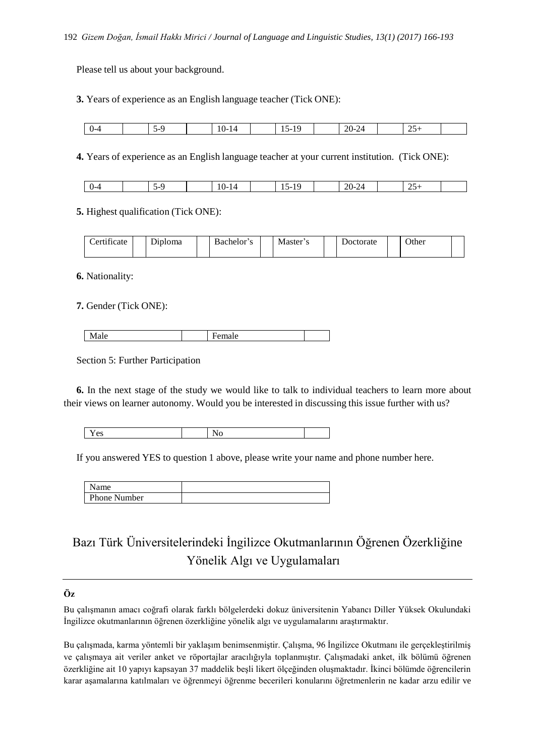Please tell us about your background.

**3.** Years of experience as an English language teacher (Tick ONE):

| <br>U-4 | $\sim$<br>$-1$ | $10-14$<br>__ | $\epsilon$<br>$\sim$<br>$\overline{ }$<br>. . | <b>.</b><br>$\Omega$<br>–∠U- 1<br>. .<br><b>__</b> | $\Delta$ $\tau$<br>$\overline{\phantom{a}}$ |  |
|---------|----------------|---------------|-----------------------------------------------|----------------------------------------------------|---------------------------------------------|--|

**4.** Years of experience as an English language teacher at your current institution. (Tick ONE):

| $10-$<br>$20-7$<br>. .<br>- - -<br>۰.<br>$\mathbf{v}$<br>.<br>. .<br>سد<br><b></b><br>. .<br>-<br>$\sim$<br>--<br>__<br>__<br>__ |
|----------------------------------------------------------------------------------------------------------------------------------|
|----------------------------------------------------------------------------------------------------------------------------------|

**5.** Highest qualification (Tick ONE):

| $\cdot$ $\sim$<br>∼<br>Certificate | r.<br>riploma | Bachelor's | Master' | Doctorate | Other |  |
|------------------------------------|---------------|------------|---------|-----------|-------|--|
|                                    |               |            |         |           |       |  |

**6.** Nationality:

**7.** Gender (Tick ONE):

| www | IΑ |  |
|-----|----|--|
|     |    |  |

Section 5: Further Participation

**6.** In the next stage of the study we would like to talk to individual teachers to learn more about their views on learner autonomy. Would you be interested in discussing this issue further with us?

| ∼ | $  -$<br>es | - |  |
|---|-------------|---|--|
|---|-------------|---|--|

If you answered YES to question 1 above, please write your name and phone number here.

| <b>Phone Number</b> |  |
|---------------------|--|

# Bazı Türk Üniversitelerindeki İngilizce Okutmanlarının Öğrenen Özerkliğine Yönelik Algı ve Uygulamaları

# **Öz**

Bu çalışmanın amacı coğrafi olarak farklı bölgelerdeki dokuz üniversitenin Yabancı Diller Yüksek Okulundaki İngilizce okutmanlarının öğrenen özerkliğine yönelik algı ve uygulamalarını araştırmaktır.

Bu çalışmada, karma yöntemli bir yaklaşım benimsenmiştir. Çalışma, 96 İngilizce Okutmanı ile gerçekleştirilmiş ve çalışmaya ait veriler anket ve röportajlar aracılığıyla toplanmıştır. Çalışmadaki anket, ilk bölümü öğrenen özerkliğine ait 10 yapıyı kapsayan 37 maddelik beşli likert ölçeğinden oluşmaktadır. İkinci bölümde öğrencilerin karar aşamalarına katılmaları ve öğrenmeyi öğrenme becerileri konularını öğretmenlerin ne kadar arzu edilir ve